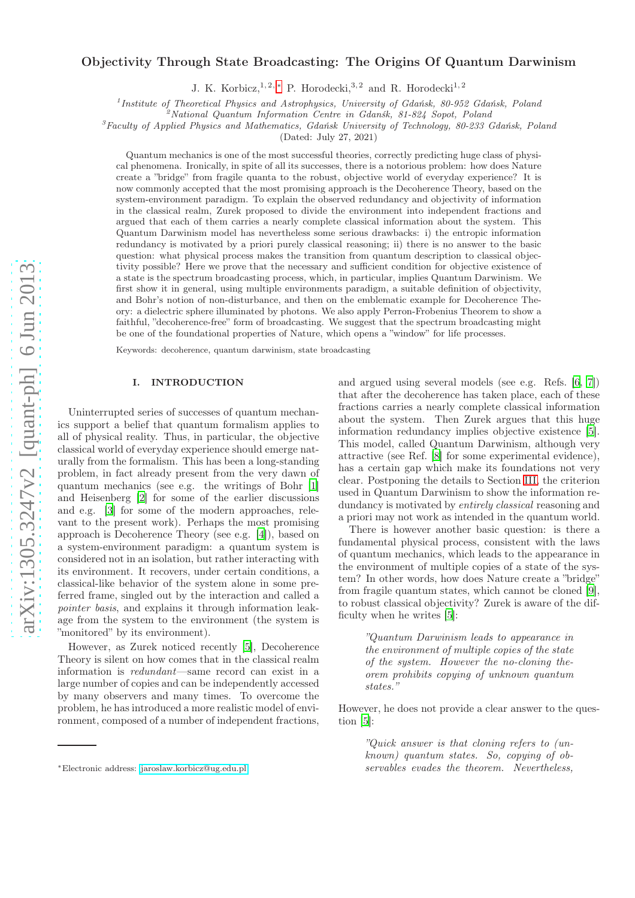# Objectivity Through State Broadcasting: The Origins Of Quantum Darwinism

J. K. Korbicz, <sup>1, 2, \*</sup> P. Horodecki, <sup>3, 2</sup> and R. Horodecki<sup>1, 2</sup>

<sup>1</sup> Institute of Theoretical Physics and Astrophysics, University of Gdańsk, 80-952 Gdańsk, Poland

 $^{2}$ National Quantum Information Centre in Gdansk, 81-824 Sopot, Poland

 ${}^{3}$ Faculty of Applied Physics and Mathematics, Gdańsk University of Technology, 80-233 Gdańsk, Poland

(Dated: July 27, 2021)

Quantum mechanics is one of the most successful theories, correctly predicting huge class of physical phenomena. Ironically, in spite of all its successes, there is a notorious problem: how does Nature create a "bridge" from fragile quanta to the robust, objective world of everyday experience? It is now commonly accepted that the most promising approach is the Decoherence Theory, based on the system-environment paradigm. To explain the observed redundancy and objectivity of information in the classical realm, Zurek proposed to divide the environment into independent fractions and argued that each of them carries a nearly complete classical information about the system. This Quantum Darwinism model has nevertheless some serious drawbacks: i) the entropic information redundancy is motivated by a priori purely classical reasoning; ii) there is no answer to the basic question: what physical process makes the transition from quantum description to classical objectivity possible? Here we prove that the necessary and sufficient condition for objective existence of a state is the spectrum broadcasting process, which, in particular, implies Quantum Darwinism. We first show it in general, using multiple environments paradigm, a suitable definition of objectivity, and Bohr's notion of non-disturbance, and then on the emblematic example for Decoherence Theory: a dielectric sphere illuminated by photons. We also apply Perron-Frobenius Theorem to show a faithful, "decoherence-free" form of broadcasting. We suggest that the spectrum broadcasting might be one of the foundational properties of Nature, which opens a "window" for life processes.

Keywords: decoherence, quantum darwinism, state broadcasting

### I. INTRODUCTION

Uninterrupted series of successes of quantum mechanics support a belief that quantum formalism applies to all of physical reality. Thus, in particular, the objective classical world of everyday experience should emerge naturally from the formalism. This has been a long-standing problem, in fact already present from the very dawn of quantum mechanics (see e.g. the writings of Bohr [\[1](#page-14-0)] and Heisenberg [\[2\]](#page-14-1) for some of the earlier discussions and e.g. [\[3\]](#page-14-2) for some of the modern approaches, relevant to the present work). Perhaps the most promising approach is Decoherence Theory (see e.g. [\[4\]](#page-14-3)), based on a system-environment paradigm: a quantum system is considered not in an isolation, but rather interacting with its environment. It recovers, under certain conditions, a classical-like behavior of the system alone in some preferred frame, singled out by the interaction and called a pointer basis, and explains it through information leakage from the system to the environment (the system is "monitored" by its environment).

However, as Zurek noticed recently [\[5\]](#page-14-4), Decoherence Theory is silent on how comes that in the classical realm information is redundant—same record can exist in a large number of copies and can be independently accessed by many observers and many times. To overcome the problem, he has introduced a more realistic model of environment, composed of a number of independent fractions, and argued using several models (see e.g. Refs. [\[6](#page-14-5), [7](#page-14-6)]) that after the decoherence has taken place, each of these fractions carries a nearly complete classical information about the system. Then Zurek argues that this huge information redundancy implies objective existence [\[5\]](#page-14-4). This model, called Quantum Darwinism, although very attractive (see Ref. [\[8\]](#page-14-7) for some experimental evidence), has a certain gap which make its foundations not very clear. Postponing the details to Section [III,](#page-4-0) the criterion used in Quantum Darwinism to show the information redundancy is motivated by *entirely classical* reasoning and a priori may not work as intended in the quantum world.

There is however another basic question: is there a fundamental physical process, consistent with the laws of quantum mechanics, which leads to the appearance in the environment of multiple copies of a state of the system? In other words, how does Nature create a "bridge" from fragile quantum states, which cannot be cloned [\[9\]](#page-14-8), to robust classical objectivity? Zurek is aware of the difficulty when he writes [\[5\]](#page-14-4):

"Quantum Darwinism leads to appearance in the environment of multiple copies of the state of the system. However the no-cloning theorem prohibits copying of unknown quantum states."

However, he does not provide a clear answer to the question [\[5](#page-14-4)]:

"Quick answer is that cloning refers to (unknown) quantum states. So, copying of observables evades the theorem. Nevertheless,

<span id="page-0-0"></span><sup>∗</sup>Electronic address: [jaroslaw.korbicz@ug.edu.pl](mailto:jaroslaw.korbicz@ug.edu.pl)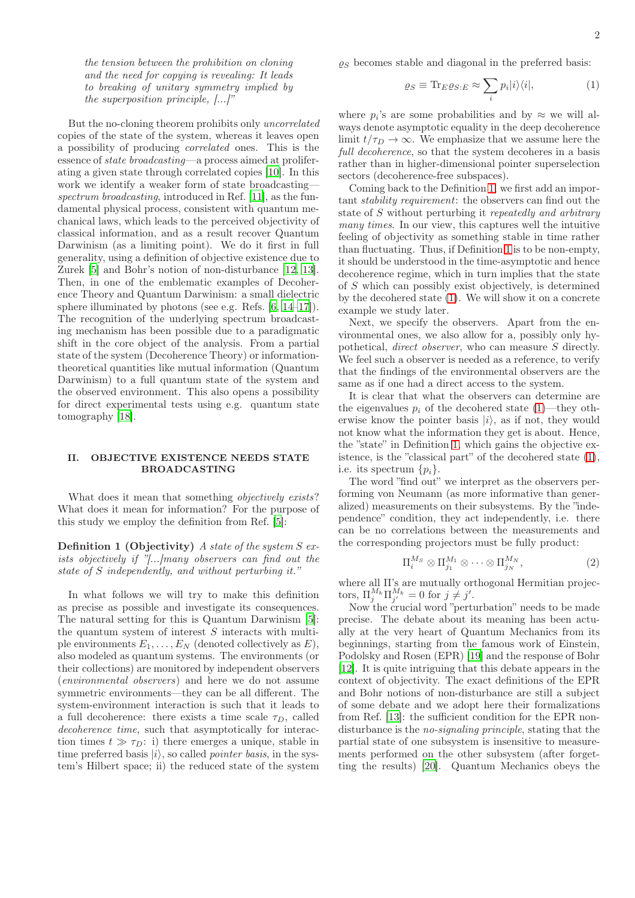the tension between the prohibition on cloning and the need for copying is revealing: It leads to breaking of unitary symmetry implied by the superposition principle, [...]"

But the no-cloning theorem prohibits only uncorrelated copies of the state of the system, whereas it leaves open a possibility of producing correlated ones. This is the essence of state broadcasting—a process aimed at proliferating a given state through correlated copies [\[10](#page-15-0)]. In this work we identify a weaker form of state broadcasting— spectrum broadcasting, introduced in Ref. [\[11\]](#page-15-1), as the fundamental physical process, consistent with quantum mechanical laws, which leads to the perceived objectivity of classical information, and as a result recover Quantum Darwinism (as a limiting point). We do it first in full generality, using a definition of objective existence due to Zurek [\[5\]](#page-14-4) and Bohr's notion of non-disturbance [\[12](#page-15-2), [13\]](#page-15-3). Then, in one of the emblematic examples of Decoherence Theory and Quantum Darwinism: a small dielectric sphere illuminated by photons (see e.g. Refs. [\[6,](#page-14-5) [14](#page-15-4)[–17\]](#page-15-5)). The recognition of the underlying spectrum broadcasting mechanism has been possible due to a paradigmatic shift in the core object of the analysis. From a partial state of the system (Decoherence Theory) or informationtheoretical quantities like mutual information (Quantum Darwinism) to a full quantum state of the system and the observed environment. This also opens a possibility for direct experimental tests using e.g. quantum state tomography [\[18](#page-15-6)].

## <span id="page-1-3"></span>II. OBJECTIVE EXISTENCE NEEDS STATE BROADCASTING

What does it mean that something *objectively exists*? What does it mean for information? For the purpose of this study we employ the definition from Ref. [\[5\]](#page-14-4):

**Definition 1 (Objectivity)** A state of the system  $S$  exists objectively if "[...]many observers can find out the state of S independently, and without perturbing it."

In what follows we will try to make this definition as precise as possible and investigate its consequences. The natural setting for this is Quantum Darwinism [\[5\]](#page-14-4): the quantum system of interest S interacts with multiple environments  $E_1, \ldots, E_N$  (denoted collectively as  $E$ ), also modeled as quantum systems. The environments (or their collections) are monitored by independent observers (environmental observers) and here we do not assume symmetric environments—they can be all different. The system-environment interaction is such that it leads to a full decoherence: there exists a time scale  $\tau_D$ , called decoherence time, such that asymptotically for interaction times  $t \gg \tau_D$ : i) there emerges a unique, stable in time preferred basis  $|i\rangle$ , so called *pointer basis*, in the system's Hilbert space; ii) the reduced state of the system  $\rho_S$  becomes stable and diagonal in the preferred basis:

<span id="page-1-1"></span>
$$
\varrho_S \equiv \text{Tr}_{E}\varrho_{S:E} \approx \sum_{i} p_i |i\rangle\langle i|,\tag{1}
$$

where  $p_i$ 's are some probabilities and by  $\approx$  we will always denote asymptotic equality in the deep decoherence limit  $t/\tau_D \rightarrow \infty$ . We emphasize that we assume here the full decoherence, so that the system decoheres in a basis rather than in higher-dimensional pointer superselection sectors (decoherence-free subspaces).

Coming back to the Definition [1,](#page-1-0) we first add an important stability requirement: the observers can find out the state of S without perturbing it repeatedly and arbitrary many times. In our view, this captures well the intuitive feeling of objectivity as something stable in time rather than fluctuating. Thus, if Definition [1](#page-1-0) is to be non-empty, it should be understood in the time-asymptotic and hence decoherence regime, which in turn implies that the state of S which can possibly exist objectively, is determined by the decohered state [\(1\)](#page-1-1). We will show it on a concrete example we study later.

Next, we specify the observers. Apart from the environmental ones, we also allow for a, possibly only hypothetical, direct observer, who can measure S directly. We feel such a observer is needed as a reference, to verify that the findings of the environmental observers are the same as if one had a direct access to the system.

It is clear that what the observers can determine are the eigenvalues  $p_i$  of the decohered state [\(1\)](#page-1-1)—they otherwise know the pointer basis  $|i\rangle$ , as if not, they would not know what the information they get is about. Hence, the "state" in Definition [1,](#page-1-0) which gains the objective existence, is the "classical part" of the decohered state [\(1\)](#page-1-1), i.e. its spectrum  $\{p_i\}$ .

<span id="page-1-0"></span>The word "find out" we interpret as the observers performing von Neumann (as more informative than generalized) measurements on their subsystems. By the "independence" condition, they act independently, i.e. there can be no correlations between the measurements and the corresponding projectors must be fully product:

<span id="page-1-2"></span>
$$
\Pi_i^{M_S} \otimes \Pi_{j_1}^{M_1} \otimes \cdots \otimes \Pi_{j_N}^{M_N},\tag{2}
$$

where all Π's are mutually orthogonal Hermitian projectors,  $\Pi_j^{M_k} \Pi_{j'}^{M_k} = 0$  for  $j \neq j'.$ 

Now the crucial word "perturbation" needs to be made precise. The debate about its meaning has been actually at the very heart of Quantum Mechanics from its beginnings, starting from the famous work of Einstein, Podolsky and Rosen (EPR) [\[19](#page-15-7)] and the response of Bohr [\[12\]](#page-15-2). It is quite intriguing that this debate appears in the context of objectivity. The exact definitions of the EPR and Bohr notions of non-disturbance are still a subject of some debate and we adopt here their formalizations from Ref. [\[13](#page-15-3)]: the sufficient condition for the EPR nondisturbance is the no-signaling principle, stating that the partial state of one subsystem is insensitive to measurements performed on the other subsystem (after forgetting the results) [\[20\]](#page-15-8). Quantum Mechanics obeys the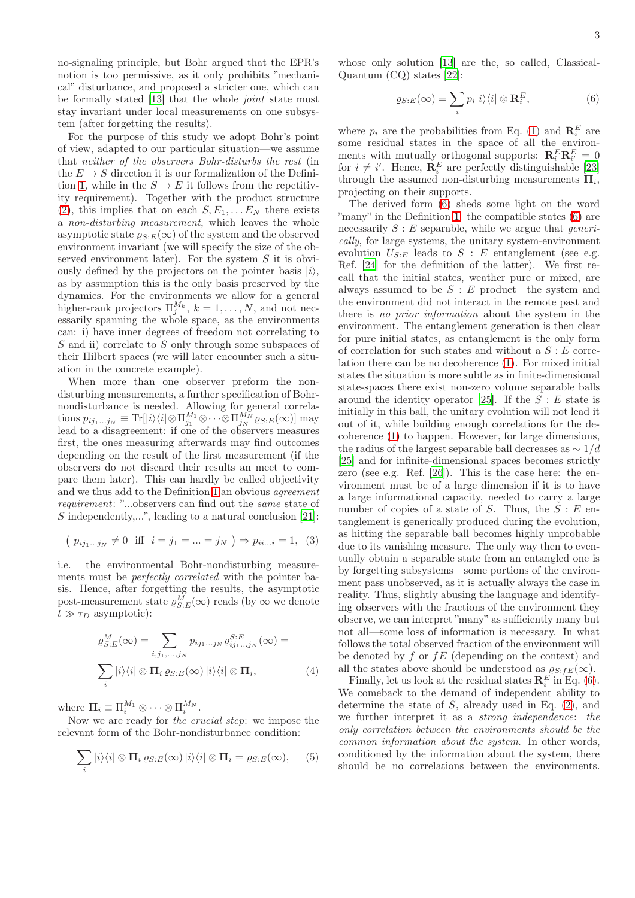no-signaling principle, but Bohr argued that the EPR's notion is too permissive, as it only prohibits "mechanical" disturbance, and proposed a stricter one, which can be formally stated [\[13\]](#page-15-3) that the whole joint state must stay invariant under local measurements on one subsystem (after forgetting the results).

For the purpose of this study we adopt Bohr's point of view, adapted to our particular situation—we assume that neither of the observers Bohr-disturbs the rest (in the  $E \to S$  direction it is our formalization of the Defini-tion [1,](#page-1-0) while in the  $S \to E$  it follows from the repetitivity requirement). Together with the product structure [\(2\)](#page-1-2), this implies that on each  $S, E_1, \ldots E_N$  there exists a non-disturbing measurement, which leaves the whole asymptotic state  $\varrho_{S:E}(\infty)$  of the system and the observed environment invariant (we will specify the size of the observed environment later). For the system  $S$  it is obviously defined by the projectors on the pointer basis  $|i\rangle$ , as by assumption this is the only basis preserved by the dynamics. For the environments we allow for a general higher-rank projectors  $\Pi_j^{M_k}$ ,  $k = 1, ..., N$ , and not necessarily spanning the whole space, as the environments can: i) have inner degrees of freedom not correlating to S and ii) correlate to S only through some subspaces of their Hilbert spaces (we will later encounter such a situation in the concrete example).

When more than one observer preform the nondisturbing measurements, a further specification of Bohrnondisturbance is needed. Allowing for general correla- $\text{tions } p_{ij_1...j_N} \equiv \text{Tr} [ |i \rangle \langle i | \otimes \Pi^{M_1}_{j_1} \otimes \cdots \otimes \Pi^{M_N}_{j_N} \varrho_{S:E}(\infty) ] \text{ may}$ lead to a disagreement: if one of the observers measures first, the ones measuring afterwards may find outcomes depending on the result of the first measurement (if the observers do not discard their results an meet to compare them later). This can hardly be called objectivity and we thus add to the Definition [1](#page-1-0) an obvious agreement requirement: "...observers can find out the same state of S independently,...", leading to a natural conclusion [\[21\]](#page-15-9):

$$
(p_{ij_1...j_N} \neq 0 \text{ iff } i = j_1 = ... = j_N) \Rightarrow p_{ii...i} = 1, (3)
$$

i.e. the environmental Bohr-nondisturbing measurements must be perfectly correlated with the pointer basis. Hence, after forgetting the results, the asymptotic post-measurement state  $\rho_{S:E}^{M}(\infty)$  reads (by  $\infty$  we denote  $t \gg \tau_D$  asymptotic):

$$
\rho_{S:E}^{M}(\infty) = \sum_{i,j_1,\dots,j_N} p_{ij_1\dots j_N} \rho_{ij_1\dots j_N}^{S:E}(\infty) =
$$

$$
\sum_{i} |i\rangle\langle i| \otimes \mathbf{\Pi}_{i} \varrho_{S:E}(\infty) |i\rangle\langle i| \otimes \mathbf{\Pi}_{i}, \tag{4}
$$

where  $\Pi_i \equiv \Pi_i^{M_1} \otimes \cdots \otimes \Pi_i^{M_N}$ .

Now we are ready for the crucial step: we impose the relevant form of the Bohr-nondisturbance condition:

<span id="page-2-1"></span>
$$
\sum_{i} |i\rangle\langle i| \otimes \Pi_{i} \varrho_{S:E}(\infty) |i\rangle\langle i| \otimes \Pi_{i} = \varrho_{S:E}(\infty), \qquad (5)
$$

whose only solution [\[13\]](#page-15-3) are the, so called, Classical-Quantum (CQ) states [\[22\]](#page-15-10):

<span id="page-2-0"></span>
$$
\varrho_{S:E}(\infty) = \sum_{i} p_i |i\rangle\langle i| \otimes \mathbf{R}_i^E,\tag{6}
$$

where  $p_i$  are the probabilities from Eq. [\(1\)](#page-1-1) and  $\mathbf{R}_i^E$  are some residual states in the space of all the environments with mutually orthogonal supports:  $\mathbf{R}_i^E \mathbf{R}_{i'}^E = 0$ for  $i \neq i'$ . Hence,  $\mathbf{R}_i^E$  are perfectly distinguishable [\[23](#page-15-11)] through the assumed non-disturbing measurements  $\Pi_i$ , projecting on their supports.

The derived form [\(6\)](#page-2-0) sheds some light on the word "many" in the Definition [1:](#page-1-0) the compatible states [\(6\)](#page-2-0) are necessarily  $S : E$  separable, while we argue that *generi*cally, for large systems, the unitary system-environment evolution  $U_{S:E}$  leads to  $S:E$  entanglement (see e.g. Ref. [\[24\]](#page-15-12) for the definition of the latter). We first recall that the initial states, weather pure or mixed, are always assumed to be  $S : E$  product—the system and the environment did not interact in the remote past and there is no prior information about the system in the environment. The entanglement generation is then clear for pure initial states, as entanglement is the only form of correlation for such states and without a  $S : E$  correlation there can be no decoherence [\(1\)](#page-1-1). For mixed initial states the situation is more subtle as in finite-dimensional state-spaces there exist non-zero volume separable balls around the identity operator [\[25\]](#page-15-13). If the  $S : E$  state is initially in this ball, the unitary evolution will not lead it out of it, while building enough correlations for the decoherence [\(1\)](#page-1-1) to happen. However, for large dimensions, the radius of the largest separable ball decreases as  $\sim 1/d$ [\[25\]](#page-15-13) and for infinite-dimensional spaces becomes strictly zero (see e.g. Ref. [\[26\]](#page-15-14)). This is the case here: the environment must be of a large dimension if it is to have a large informational capacity, needed to carry a large number of copies of a state of  $S$ . Thus, the  $S : E$  entanglement is generically produced during the evolution, as hitting the separable ball becomes highly unprobable due to its vanishing measure. The only way then to eventually obtain a separable state from an entangled one is by forgetting subsystems—some portions of the environment pass unobserved, as it is actually always the case in reality. Thus, slightly abusing the language and identifying observers with the fractions of the environment they observe, we can interpret "many" as sufficiently many but not all—some loss of information is necessary. In what follows the total observed fraction of the environment will be denoted by  $f$  or  $fE$  (depending on the context) and all the states above should be understood as  $\varrho_{S:FE}(\infty)$ .

<span id="page-2-2"></span>Finally, let us look at the residual states  $\mathbf{R}_i^E$  in Eq. [\(6\)](#page-2-0). We comeback to the demand of independent ability to determine the state of  $S$ , already used in Eq.  $(2)$ , and we further interpret it as a strong independence: the only correlation between the environments should be the common information about the system. In other words, conditioned by the information about the system, there should be no correlations between the environments.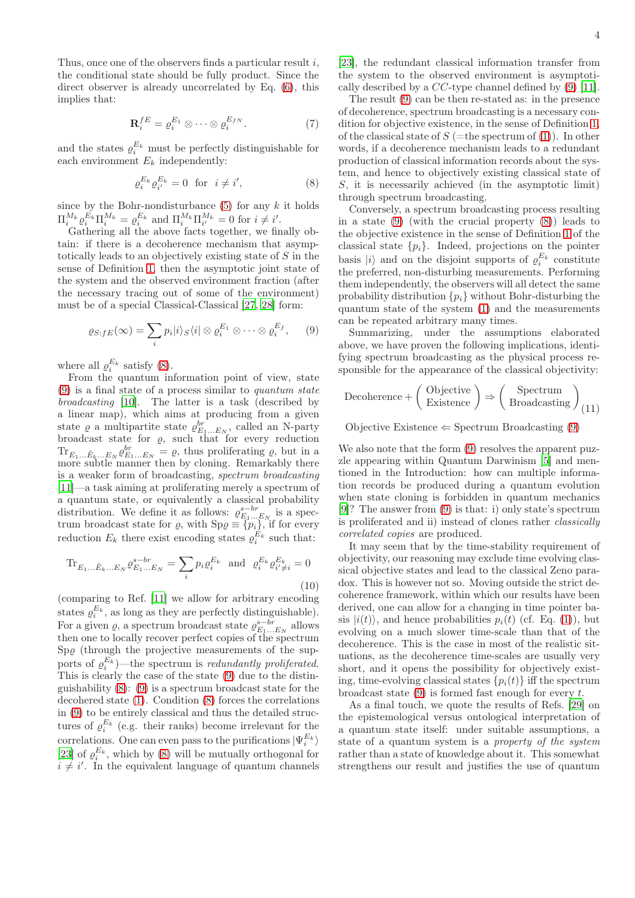Thus, once one of the observers finds a particular result  $i$ , the conditional state should be fully product. Since the direct observer is already uncorrelated by Eq.  $(6)$ , this implies that:

$$
\mathbf{R}_i^{fE} = \varrho_i^{E_1} \otimes \cdots \otimes \varrho_i^{E_{fN}}.
$$
 (7)

and the states  $\varrho_i^{E_k}$  must be perfectly distinguishable for each environment  $E_k$  independently:

<span id="page-3-0"></span>
$$
\varrho_i^{E_k} \varrho_{i'}^{E_k} = 0 \quad \text{for} \quad i \neq i', \tag{8}
$$

since by the Bohr-nondisturbance  $(5)$  for any k it holds  $\Pi_{i}^{M_k} \varrho_i^{E_k} \Pi_i^{M_k} = \varrho_i^{E_k}$  and  $\Pi_{i}^{M_k} \Pi_{i'}^{M_k} = 0$  for  $i \neq i'.$ 

Gathering all the above facts together, we finally obtain: if there is a decoherence mechanism that asymptotically leads to an objectively existing state of S in the sense of Definition [1,](#page-1-0) then the asymptotic joint state of the system and the observed environment fraction (after the necessary tracing out of some of the environment) must be of a special Classical-Classical [\[27](#page-15-15), [28](#page-15-16)] form:

$$
\varrho_{S:fE}(\infty) = \sum_{i} p_i|i\rangle_S\langle i| \otimes \varrho_i^{E_1} \otimes \cdots \otimes \varrho_i^{E_f}, \qquad (9)
$$

where all  $\varrho_i^{E_k}$  satisfy [\(8\)](#page-3-0).

From the quantum information point of view, state  $(9)$  is a final state of a process similar to quantum state broadcasting [\[10\]](#page-15-0). The latter is a task (described by a linear map), which aims at producing from a given state  $\varrho$  a multipartite state  $\varrho_{E_1...E_N}^{br}$ , called an N-party broadcast state for  $\varrho$ , such that for every reduction  $\text{Tr}_{E_1...E_k...E_N} \varrho_{E_1...E_N}^{br} = \varrho$ , thus proliferating  $\varrho$ , but in a more subtle manner then by cloning. Remarkably there is a weaker form of broadcasting, spectrum broadcasting [\[11\]](#page-15-1)—a task aiming at proliferating merely a spectrum of a quantum state, or equivalently a classical probability distribution. We define it as follows:  $\varrho_{E_1...E_N}^{s-br}$  is a spectrum broadcast state for  $\varrho$ , with  $Sp\varrho \equiv \{p_i\}$ , if for every reduction  $E_k$  there exist encoding states  $\varrho_i^{E_k}$  such that:

$$
\text{Tr}_{E_1...E_k...E_N} \varrho_{E_1...E_N}^{s-br} = \sum_i p_i \varrho_i^{E_k} \text{ and } \varrho_i^{E_k} \varrho_{i' \neq i}^{E_k} = 0
$$
\n(10)

(comparing to Ref. [\[11\]](#page-15-1) we allow for arbitrary encoding states  $\rho_i^{E_k}$ , as long as they are perfectly distinguishable). For a given  $\rho$ , a spectrum broadcast state  $\rho_{E_1...E_N}^{s-br}$  allows then one to locally recover perfect copies of the spectrum  $Sp\varrho$  (through the projective measurements of the supports of  $\rho_i^{E_k}$ )—the spectrum is *redundantly proliferated*. This is clearly the case of the state [\(9\)](#page-3-1) due to the distinguishability [\(8\)](#page-3-0): [\(9\)](#page-3-1) is a spectrum broadcast state for the decohered state [\(1\)](#page-1-1). Condition [\(8\)](#page-3-0) forces the correlations in [\(9\)](#page-3-1) to be entirely classical and thus the detailed structures of  $\varrho_i^{E_k}$  (e.g. their ranks) become irrelevant for the correlations. One can even pass to the purifications  $|\Psi_i^{E_k}\rangle$ [\[23\]](#page-15-11) of  $\varrho_i^{E_k}$ , which by [\(8\)](#page-3-0) will be mutually orthogonal for  $i \neq i'$ . In the equivalent language of quantum channels [\[23\]](#page-15-11), the redundant classical information transfer from the system to the observed environment is asymptotically described by a CC-type channel defined by [\(9\)](#page-3-1) [\[11\]](#page-15-1).

The result [\(9\)](#page-3-1) can be then re-stated as: in the presence of decoherence, spectrum broadcasting is a necessary condition for objective existence, in the sense of Definition [1,](#page-1-0) of the classical state of  $S$  (=the spectrum of [\(1\)](#page-1-1)). In other words, if a decoherence mechanism leads to a redundant production of classical information records about the system, and hence to objectively existing classical state of S, it is necessarily achieved (in the asymptotic limit) through spectrum broadcasting.

Conversely, a spectrum broadcasting process resulting in a state [\(9\)](#page-3-1) (with the crucial property [\(8\)](#page-3-0)) leads to the objective existence in the sense of Definition [1](#page-1-0) of the classical state  $\{p_i\}$ . Indeed, projections on the pointer basis  $|i\rangle$  and on the disjoint supports of  $\varrho_i^{E_k}$  constitute the preferred, non-disturbing measurements. Performing them independently, the observers will all detect the same probability distribution  $\{p_i\}$  without Bohr-disturbing the quantum state of the system [\(1\)](#page-1-1) and the measurements can be repeated arbitrary many times.

<span id="page-3-1"></span>Summarizing, under the assumptions elaborated above, we have proven the following implications, identifying spectrum broadcasting as the physical process responsible for the appearance of the classical objectivity:

<span id="page-3-2"></span>
$$
December + \left(\begin{array}{c}Objective \\ Existence \end{array}\right) \Rightarrow \left(\begin{array}{c} Spectrum \\ Broadcasting \end{array}\right)_{(11)}
$$

Objective Existence  $\Leftarrow$  Spectrum Broadcasting [\(9\)](#page-3-1)

We also note that the form  $(9)$  resolves the apparent puzzle appearing within Quantum Darwinism [\[5](#page-14-4)] and mentioned in the Introduction: how can multiple information records be produced during a quantum evolution when state cloning is forbidden in quantum mechanics [\[9\]](#page-14-8)? The answer from [\(9\)](#page-3-1) is that: i) only state's spectrum is proliferated and ii) instead of clones rather classically correlated copies are produced.

It may seem that by the time-stability requirement of objectivity, our reasoning may exclude time evolving classical objective states and lead to the classical Zeno paradox. This is however not so. Moving outside the strict decoherence framework, within which our results have been derived, one can allow for a changing in time pointer basis  $|i(t)\rangle$ , and hence probabilities  $p_i(t)$  (cf. Eq. [\(1\)](#page-1-1)), but evolving on a much slower time-scale than that of the decoherence. This is the case in most of the realistic situations, as the decoherence time-scales are usually very short, and it opens the possibility for objectively existing, time-evolving classical states  $\{p_i(t)\}\$ iff the spectrum broadcast state  $(9)$  is formed fast enough for every t.

As a final touch, we quote the results of Refs. [\[29](#page-15-17)] on the epistemological versus ontological interpretation of a quantum state itself: under suitable assumptions, a state of a quantum system is a property of the system rather than a state of knowledge about it. This somewhat strengthens our result and justifies the use of quantum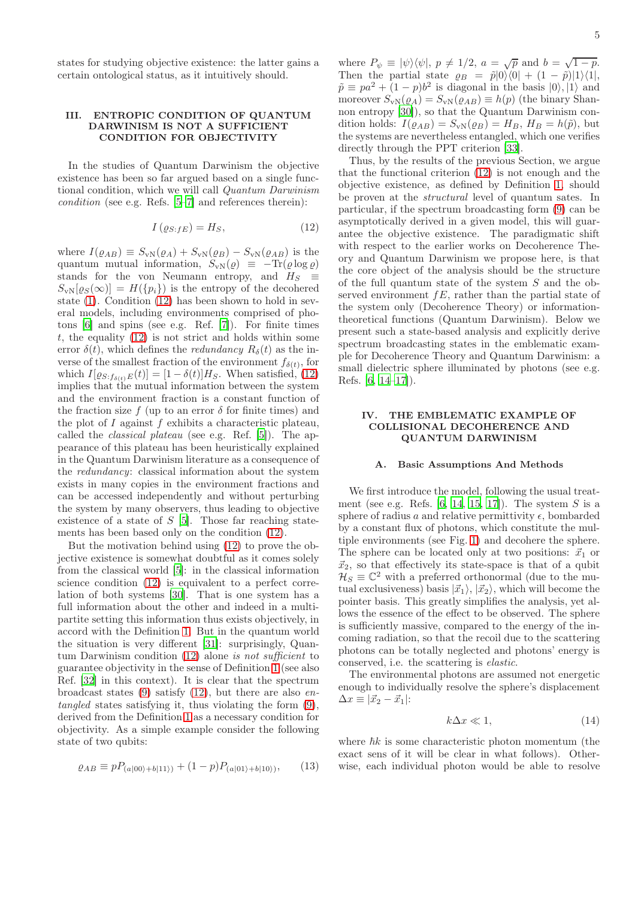states for studying objective existence: the latter gains a certain ontological status, as it intuitively should.

## <span id="page-4-0"></span>III. ENTROPIC CONDITION OF QUANTUM DARWINISM IS NOT A SUFFICIENT CONDITION FOR OBJECTIVITY

In the studies of Quantum Darwinism the objective existence has been so far argued based on a single functional condition, which we will call Quantum Darwinism condition (see e.g. Refs. [\[5](#page-14-4)[–7\]](#page-14-6) and references therein):

$$
I\left(\varrho_{S:JE}\right) = H_S,\tag{12}
$$

where  $I(\varrho_{AB}) \equiv S_{\rm vN}(\varrho_A) + S_{\rm vN}(\varrho_B) - S_{\rm vN}(\varrho_{AB})$  is the quantum mutual information,  $S_{\rm vN}(\varrho) \equiv -\text{Tr}(\varrho \log \varrho)$ stands for the von Neumann entropy, and  $H_S \equiv$  $S_{\rm vN}[\varrho_S(\infty)] = H(\{p_i\})$  is the entropy of the decohered state [\(1\)](#page-1-1). Condition [\(12\)](#page-4-1) has been shown to hold in several models, including environments comprised of photons [\[6\]](#page-14-5) and spins (see e.g. Ref. [\[7\]](#page-14-6)). For finite times t, the equality  $(12)$  is not strict and holds within some error  $\delta(t)$ , which defines the *redundancy*  $R_{\delta}(t)$  as the inverse of the smallest fraction of the environment  $f_{\delta(t)}$ , for which  $I[\varrho_{S:f_{\delta(t)}E}(t)] = [1 - \delta(t)]H_S$ . When satisfied, [\(12\)](#page-4-1) implies that the mutual information between the system and the environment fraction is a constant function of the fraction size  $f$  (up to an error  $\delta$  for finite times) and the plot of I against f exhibits a characteristic plateau, called the classical plateau (see e.g. Ref. [\[5\]](#page-14-4)). The appearance of this plateau has been heuristically explained in the Quantum Darwinism literature as a consequence of the redundancy: classical information about the system exists in many copies in the environment fractions and can be accessed independently and without perturbing the system by many observers, thus leading to objective existence of a state of  $S$  [\[5\]](#page-14-4). Those far reaching statements has been based only on the condition [\(12\)](#page-4-1).

But the motivation behind using [\(12\)](#page-4-1) to prove the objective existence is somewhat doubtful as it comes solely from the classical world [\[5\]](#page-14-4): in the classical information science condition [\(12\)](#page-4-1) is equivalent to a perfect correlation of both systems [\[30](#page-15-18)]. That is one system has a full information about the other and indeed in a multipartite setting this information thus exists objectively, in accord with the Definition [1.](#page-1-0) But in the quantum world the situation is very different [\[31](#page-15-19)]: surprisingly, Quantum Darwinism condition [\(12\)](#page-4-1) alone is not sufficient to guarantee objectivity in the sense of Definition [1](#page-1-0) (see also Ref. [\[32](#page-15-20)] in this context). It is clear that the spectrum broadcast states  $(9)$  satisfy  $(12)$ , but there are also entangled states satisfying it, thus violating the form [\(9\)](#page-3-1), derived from the Definition [1](#page-1-0) as a necessary condition for objectivity. As a simple example consider the following state of two qubits:

$$
\varrho_{AB} \equiv p P_{(a|00\rangle + b|11\rangle)} + (1-p) P_{(a|01\rangle + b|10\rangle)},\tag{13}
$$

where  $P_{\psi} \equiv |\psi\rangle\langle\psi|, p \neq 1/2, a = \sqrt{p}$  and  $b = \sqrt{1-p}$ . Then the partial state  $\rho_B = \tilde{p}|0\rangle\langle 0| + (1 - \tilde{p})|1\rangle\langle 1|,$  $\tilde{p} \equiv pa^2 + (1-p)b^2$  is diagonal in the basis  $|0\rangle, |1\rangle$  and moreover  $S_{\rm vN}(\varrho_A) = S_{\rm vN}(\varrho_{AB}) \equiv h(p)$  (the binary Shannon entropy [\[30](#page-15-18)]), so that the Quantum Darwinism condition holds:  $I(\varrho_{AB}) = S_{\rm vN}(\varrho_B) = H_B$ ,  $H_B = h(\tilde{p})$ , but the systems are nevertheless entangled, which one verifies directly through the PPT criterion [\[33\]](#page-15-21).

<span id="page-4-1"></span>Thus, by the results of the previous Section, we argue that the functional criterion [\(12\)](#page-4-1) is not enough and the objective existence, as defined by Definition [1,](#page-1-0) should be proven at the structural level of quantum sates. In particular, if the spectrum broadcasting form [\(9\)](#page-3-1) can be asymptotically derived in a given model, this will guarantee the objective existence. The paradigmatic shift with respect to the earlier works on Decoherence Theory and Quantum Darwinism we propose here, is that the core object of the analysis should be the structure of the full quantum state of the system S and the observed environment  $fE$ , rather than the partial state of the system only (Decoherence Theory) or informationtheoretical functions (Quantum Darwinism). Below we present such a state-based analysis and explicitly derive spectrum broadcasting states in the emblematic example for Decoherence Theory and Quantum Darwinism: a small dielectric sphere illuminated by photons (see e.g. Refs. [\[6,](#page-14-5) [14](#page-15-4)[–17\]](#page-15-5)).

## <span id="page-4-3"></span>IV. THE EMBLEMATIC EXAMPLE OF COLLISIONAL DECOHERENCE AND QUANTUM DARWINISM

### A. Basic Assumptions And Methods

We first introduce the model, following the usual treatment (see e.g. Refs.  $[6, 14, 15, 17]$  $[6, 14, 15, 17]$  $[6, 14, 15, 17]$  $[6, 14, 15, 17]$ ). The system  $S$  is a sphere of radius a and relative permittivity  $\epsilon$ , bombarded by a constant flux of photons, which constitute the multiple environments (see Fig. [1\)](#page-5-0) and decohere the sphere. The sphere can be located only at two positions:  $\vec{x}_1$  or  $\vec{x}_2$ , so that effectively its state-space is that of a qubit  $\mathcal{H}_S \equiv \mathbb{C}^2$  with a preferred orthonormal (due to the mutual exclusiveness) basis  $|\vec{x}_1\rangle$ ,  $|\vec{x}_2\rangle$ , which will become the pointer basis. This greatly simplifies the analysis, yet allows the essence of the effect to be observed. The sphere is sufficiently massive, compared to the energy of the incoming radiation, so that the recoil due to the scattering photons can be totally neglected and photons' energy is conserved, i.e. the scattering is elastic.

The environmental photons are assumed not energetic enough to individually resolve the sphere's displacement  $\Delta x \equiv |\vec{x}_2 - \vec{x}_1|$ :

<span id="page-4-2"></span>
$$
k\Delta x \ll 1,\tag{14}
$$

where  $\hbar k$  is some characteristic photon momentum (the exact sens of it will be clear in what follows). Otherwise, each individual photon would be able to resolve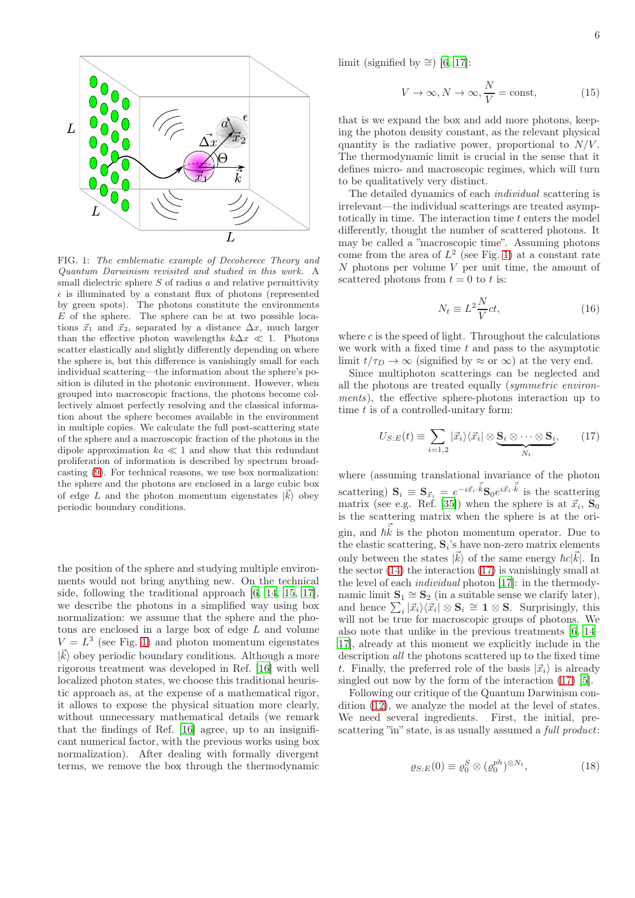

<span id="page-5-0"></span>FIG. 1: The emblematic example of Decoherece Theory and Quantum Darwinism revisited and studied in this work. A small dielectric sphere  $S$  of radius  $a$  and relative permittivity  $\epsilon$  is illuminated by a constant flux of photons (represented by green spots). The photons constitute the environments  $E$  of the sphere. The sphere can be at two possible locations  $\vec{x}_1$  and  $\vec{x}_2$ , separated by a distance  $\Delta x$ , much larger than the effective photon wavelengths  $k\Delta x \ll 1$ . Photons scatter elastically and slightly differently depending on where the sphere is, but this difference is vanishingly small for each individual scattering—the information about the sphere's position is diluted in the photonic environment. However, when grouped into macroscopic fractions, the photons become collectively almost perfectly resolving and the classical information about the sphere becomes available in the environment in multiple copies. We calculate the full post-scattering state of the sphere and a macroscopic fraction of the photons in the dipole approximation  $ka \ll 1$  and show that this redundant proliferation of information is described by spectrum broadcasting [\(9\)](#page-3-1). For technical reasons, we use box normalization: the sphere and the photons are enclosed in a large cubic box of edge L and the photon momentum eigenstates  $|\vec{k}\rangle$  obey periodic boundary conditions.

the position of the sphere and studying multiple environments would not bring anything new. On the technical side, following the traditional approach [\[6,](#page-14-5) [14](#page-15-4), [15](#page-15-22), [17\]](#page-15-5), we describe the photons in a simplified way using box normalization: we assume that the sphere and the photons are enclosed in a large box of edge L and volume  $V = L<sup>3</sup>$  (see Fig. [1\)](#page-5-0) and photon momentum eigenstates  $|\vec{k}\rangle$  obey periodic boundary conditions. Although a more rigorous treatment was developed in Ref. [\[16](#page-15-23)] with well localized photon states, we choose this traditional heuristic approach as, at the expense of a mathematical rigor, it allows to expose the physical situation more clearly, without unnecessary mathematical details (we remark that the findings of Ref. [\[16\]](#page-15-23) agree, up to an insignificant numerical factor, with the previous works using box normalization). After dealing with formally divergent terms, we remove the box through the thermodynamic

limit (signified by  $\cong$ ) [\[6](#page-14-5), [17](#page-15-5)]:

<span id="page-5-4"></span>
$$
V \to \infty, N \to \infty, \frac{N}{V} = \text{const}, \tag{15}
$$

that is we expand the box and add more photons, keeping the photon density constant, as the relevant physical quantity is the radiative power, proportional to  $N/V$ . The thermodynamic limit is crucial in the sense that it defines micro- and macroscopic regimes, which will turn to be qualitatively very distinct.

The detailed dynamics of each individual scattering is irrelevant—the individual scatterings are treated asymptotically in time. The interaction time t enters the model differently, thought the number of scattered photons. It may be called a "macroscopic time". Assuming photons come from the area of  $L^2$  (see Fig. [1\)](#page-5-0) at a constant rate  $N$  photons per volume  $V$  per unit time, the amount of scattered photons from  $t = 0$  to t is:

<span id="page-5-3"></span><span id="page-5-1"></span>
$$
N_t \equiv L^2 \frac{N}{V} c t,\tag{16}
$$

where  $c$  is the speed of light. Throughout the calculations we work with a fixed time  $t$  and pass to the asymptotic limit  $t/\tau_D \to \infty$  (signified by  $\approx$  or  $\infty$ ) at the very end.

Since multiphoton scatterings can be neglected and all the photons are treated equally (symmetric environments), the effective sphere-photons interaction up to time  $t$  is of a controlled-unitary form:

$$
U_{S:E}(t) \equiv \sum_{i=1,2} |\vec{x}_i\rangle\langle\vec{x}_i| \otimes \underbrace{\mathbf{S}_i \otimes \cdots \otimes \mathbf{S}_i}_{N_t},\qquad(17)
$$

where (assuming translational invariance of the photon scattering)  $\mathbf{S}_i \equiv \mathbf{S}_{\vec{x}_i} = e^{-i\vec{x}_i \cdot \vec{k}} \mathbf{S}_0 e^{i\vec{x}_i \cdot \vec{k}}$  is the scattering matrix (see e.g. Ref. [\[35\]](#page-15-24)) when the sphere is at  $\vec{x}_i$ ,  $S_0$ is the scattering matrix when the sphere is at the origin, and  $\vec{h} \vec{\hat{k}}$  is the photon momentum operator. Due to the elastic scattering,  $S_i$ 's have non-zero matrix elements only between the states  $|\vec{k}\rangle$  of the same energy  $\hbar c|\vec{k}|$ . In the sector [\(14\)](#page-4-2) the interaction [\(17\)](#page-5-1) is vanishingly small at the level of each individual photon [\[17\]](#page-15-5): in the thermodynamic limit  $\mathbf{S}_1 \cong \mathbf{S}_2$  (in a suitable sense we clarify later), and hence  $\sum_i |\vec{x}_i\rangle\langle \vec{x}_i| \otimes \mathbf{S}_i \cong \mathbf{1} \otimes \mathbf{S}$ . Surprisingly, this will not be true for macroscopic groups of photons. We also note that unlike in the previous treatments [\[6,](#page-14-5) [14](#page-15-4)– [17](#page-15-5)], already at this moment we explicitly include in the description all the photons scattered up to the fixed time t. Finally, the preferred role of the basis  $|\vec{x}_i\rangle$  is already singled out now by the form of the interaction [\(17\)](#page-5-1) [\[5\]](#page-14-4).

<span id="page-5-2"></span>Following our critique of the Quantum Darwinism condition [\(12\)](#page-4-1), we analyze the model at the level of states. We need several ingredients. First, the initial, prescattering "in" state, is as usually assumed a *full product*:

$$
\varrho_{S:E}(0) \equiv \varrho_0^S \otimes (\varrho_0^{ph})^{\otimes N_t},\tag{18}
$$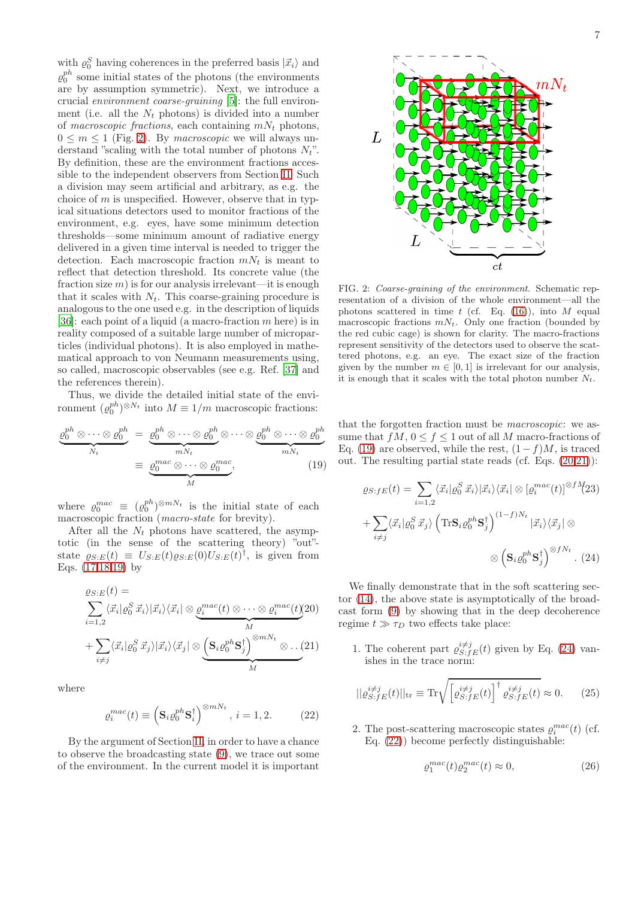with  $\varrho_0^S$  having coherences in the preferred basis  $|\vec{x}_i\rangle$  and  $\varrho_0^{ph}$  some initial states of the photons (the environments are by assumption symmetric). Next, we introduce a crucial environment coarse-graining [\[5\]](#page-14-4): the full environment (i.e. all the  $N_t$  photons) is divided into a number of macroscopic fractions, each containing  $mN_t$  photons,  $0 \leq m \leq 1$  (Fig. [2\)](#page-6-0). By macroscopic we will always understand "scaling with the total number of photons  $N_t$ ". By definition, these are the environment fractions accessible to the independent observers from Section [II.](#page-1-3) Such a division may seem artificial and arbitrary, as e.g. the choice of  $m$  is unspecified. However, observe that in typical situations detectors used to monitor fractions of the environment, e.g. eyes, have some minimum detection thresholds—some minimum amount of radiative energy delivered in a given time interval is needed to trigger the detection. Each macroscopic fraction  $mN_t$  is meant to reflect that detection threshold. Its concrete value (the fraction size  $m$ ) is for our analysis irrelevant—it is enough that it scales with  $N_t$ . This coarse-graining procedure is analogous to the one used e.g. in the description of liquids [\[36\]](#page-15-25): each point of a liquid (a macro-fraction  $m$  here) is in reality composed of a suitable large number of microparticles (individual photons). It is also employed in mathematical approach to von Neumann measurements using, so called, macroscopic observables (see e.g. Ref. [\[37](#page-15-26)] and the references therein).

Thus, we divide the detailed initial state of the environment  $(\varrho_0^{ph})^{\otimes N_t}$  into  $M \equiv 1/m$  macroscopic fractions:

<span id="page-6-1"></span>
$$
\underbrace{\varrho_0^{ph} \otimes \cdots \otimes \varrho_0^{ph}}_{N_t} = \underbrace{\varrho_0^{ph} \otimes \cdots \otimes \varrho_0^{ph}}_{mN_t} \otimes \cdots \otimes \underbrace{\varrho_0^{ph} \otimes \cdots \otimes \varrho_0^{ph}}_{mN_t}
$$
\n
$$
\equiv \underbrace{\varrho_0^{mac} \otimes \cdots \otimes \varrho_0^{mac}}_{M}, \qquad (19)
$$

where  $\varrho_0^{mac} \equiv (\varrho_0^{ph})^{\otimes mN_t}$  is the initial state of each macroscopic fraction (macro-state for brevity).

After all the  $N_t$  photons have scattered, the asymptotic (in the sense of the scattering theory) "out" state  $\varrho_{S:E}(t) \equiv U_{S:E}(t)\varrho_{S:E}(0)U_{S:E}(t)^{\dagger}$ , is given from Eqs. [\(17,](#page-5-1)[18,](#page-5-2)[19\)](#page-6-1) by

<span id="page-6-2"></span>
$$
\varrho_{S:E}(t) = \sum_{i=1,2} \langle \vec{x}_i | \varrho_0^S \, \vec{x}_i \rangle |\vec{x}_i \rangle \langle \vec{x}_i | \otimes \underbrace{\varrho_i^{mac}(t) \otimes \cdots \otimes \varrho_i^{mac}(t)}_{M} (20) + \sum_{i \neq j} \langle \vec{x}_i | \varrho_0^S \, \vec{x}_j \rangle |\vec{x}_i \rangle \langle \vec{x}_j | \otimes \underbrace{\left(\mathbf{S}_i \varrho_0^{ph} \mathbf{S}_j^{\dagger}\right)^{\otimes mN_t} \otimes \cdots (21)}_{M}
$$

where

<span id="page-6-4"></span>
$$
\varrho_i^{mac}(t) \equiv \left(\mathbf{S}_i \varrho_0^{ph} \mathbf{S}_i^{\dagger}\right)^{\otimes mN_t}, \, i = 1, 2. \tag{22}
$$

By the argument of Section [II,](#page-1-3) in order to have a chance to observe the broadcasting state [\(9\)](#page-3-1), we trace out some of the environment. In the current model it is important

7



<span id="page-6-0"></span>FIG. 2: Coarse-graining of the environment. Schematic representation of a division of the whole environment—all the photons scattered in time  $t$  (cf. Eq. [\(16\)](#page-5-3)), into  $M$  equal macroscopic fractions  $mN_t$ . Only one fraction (bounded by the red cubic cage) is shown for clarity. The macro-fractions represent sensitivity of the detectors used to observe the scattered photons, e.g. an eye. The exact size of the fraction given by the number  $m \in [0, 1]$  is irrelevant for our analysis, it is enough that it scales with the total photon number  $N_t$ .

that the forgotten fraction must be macroscopic: we assume that  $fM$ ,  $0 \le f \le 1$  out of all M macro-fractions of Eq. [\(19\)](#page-6-1) are observed, while the rest,  $(1-f)M$ , is traced out. The resulting partial state reads (cf. Eqs. [\(20,21\)](#page-6-2)):

<span id="page-6-3"></span>
$$
\varrho_{S:fE}(t) = \sum_{i=1,2} \langle \vec{x}_i | \varrho_0^S \, \vec{x}_i \rangle | \vec{x}_i \rangle \langle \vec{x}_i | \otimes [\varrho_i^{mac}(t)]^{\otimes fM}(23)
$$

$$
+ \sum_{i \neq j} \langle \vec{x}_i | \varrho_0^S \, \vec{x}_j \rangle \left( \text{Tr} \mathbf{S}_i \varrho_0^{ph} \mathbf{S}_j^{\dagger} \right)^{(1-f)N_t} | \vec{x}_i \rangle \langle \vec{x}_j | \otimes
$$

$$
\otimes \left( \mathbf{S}_i \varrho_0^{ph} \mathbf{S}_j^{\dagger} \right)^{\otimes fN_t} . \tag{24}
$$

We finally demonstrate that in the soft scattering sector [\(14\)](#page-4-2), the above state is asymptotically of the broadcast form [\(9\)](#page-3-1) by showing that in the deep decoherence regime  $t \gg \tau_D$  two effects take place:

1. The coherent part  $\varrho_{S:fg}^{i\neq j}(t)$  given by Eq. [\(24\)](#page-6-3) vanishes in the trace norm:

$$
||\varrho_{S:fE}^{i\neq j}(t)||_{\text{tr}} \equiv \text{Tr}\sqrt{\left[\varrho_{S:fE}^{i\neq j}(t)\right]^{\dagger} \varrho_{S:fE}^{i\neq j}(t)} \approx 0. \qquad (25)
$$

2. The post-scattering macroscopic states  $\varrho_i^{mac}(t)$  (cf. Eq. [\(22\)](#page-6-4)) become perfectly distinguishable:

<span id="page-6-6"></span><span id="page-6-5"></span>
$$
\varrho_1^{mac}(t)\varrho_2^{mac}(t) \approx 0,\t\t(26)
$$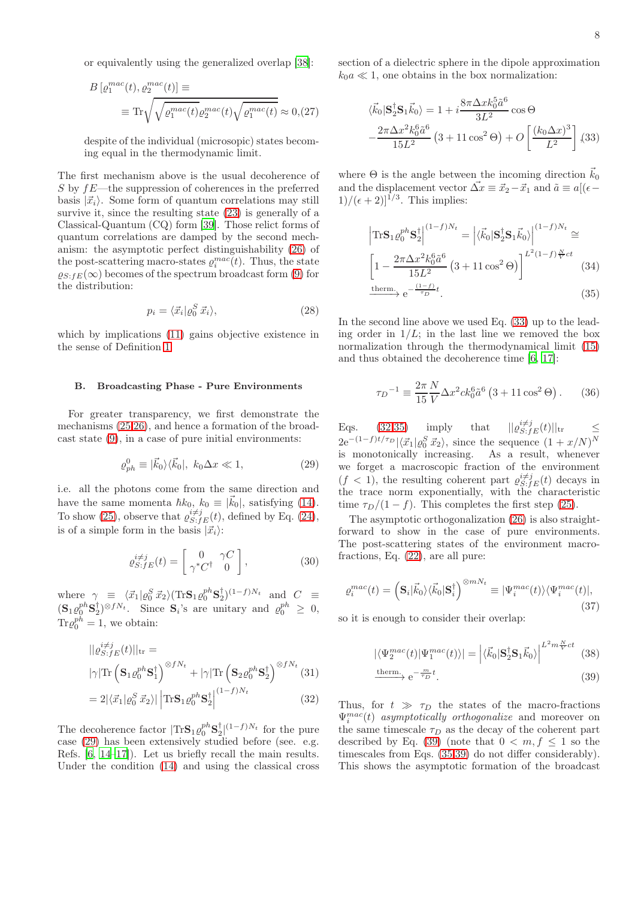or equivalently using the generalized overlap [\[38\]](#page-15-27):

<span id="page-7-6"></span>
$$
B\left[\varrho_1^{mac}(t), \varrho_2^{mac}(t)\right] \equiv
$$
  

$$
\equiv \text{Tr}\sqrt{\sqrt{\varrho_1^{mac}(t)}\varrho_2^{mac}(t)}\sqrt{\varrho_1^{mac}(t)} \approx 0, (27)
$$

despite of the individual (microsopic) states becoming equal in the thermodynamic limit.

The first mechanism above is the usual decoherence of S by fE—the suppression of coherences in the preferred basis  $|\vec{x}_i\rangle$ . Some form of quantum correlations may still survive it, since the resulting state [\(23\)](#page-6-3) is generally of a Classical-Quantum (CQ) form [\[39\]](#page-15-28). Those relict forms of quantum correlations are damped by the second mechanism: the asymptotic perfect distinguishability [\(26\)](#page-6-5) of the post-scattering macro-states  $\rho_i^{mac}(t)$ . Thus, the state  $\rho_{S;fE}(\infty)$  becomes of the spectrum broadcast form [\(9\)](#page-3-1) for the distribution:

<span id="page-7-5"></span>
$$
p_i = \langle \vec{x}_i | \varrho_0^S \, \vec{x}_i \rangle,\tag{28}
$$

which by implications  $(11)$  gains objective existence in the sense of Definition [1.](#page-1-0)

#### B. Broadcasting Phase - Pure Environments

For greater transparency, we first demonstrate the mechanisms [\(25](#page-6-6)[,26\)](#page-6-5), and hence a formation of the broadcast state [\(9\)](#page-3-1), in a case of pure initial environments:

<span id="page-7-0"></span>
$$
\varrho_{ph}^0 \equiv |\vec{k}_0\rangle\langle\vec{k}_0|, \ k_0 \Delta x \ll 1,\tag{29}
$$

i.e. all the photons come from the same direction and have the same momenta  $\hbar k_0$ ,  $k_0 \equiv |k_0|$ , satisfying [\(14\)](#page-4-2). To show [\(25\)](#page-6-6), observe that  $\varrho_{S:fE}^{i\neq j}(t)$ , defined by Eq. [\(24\)](#page-6-3), is of a simple form in the basis  $|\vec{x}_i\rangle$ :

<span id="page-7-7"></span>
$$
\varrho_{S:fE}^{i \neq j}(t) = \begin{bmatrix} 0 & \gamma C \\ \gamma^* C^\dagger & 0 \end{bmatrix},\tag{30}
$$

where  $\gamma \equiv \langle \vec{x}_1 | \varrho_0^S \vec{x}_2 \rangle (\text{Tr} \mathbf{S}_1 \varrho_0^{ph} \mathbf{S}_2^{\dagger})^{(1-f)N_t}$  and  $C \equiv$  $(\mathbf{S}_1 \varrho_0^{ph} \mathbf{S}_2^{\dagger})^{\otimes fN_t}$ . Since  $\mathbf{S}_i$ 's are unitary and  $\varrho_0^{ph} \geq 0$ ,  $\text{Tr}\varrho_0^{ph}=1$ , we obtain:

<span id="page-7-2"></span>
$$
||\varrho_{S:fE}^{i\neq j}(t)||_{\text{tr}} =
$$
  

$$
|\gamma| \text{Tr} \left( \mathbf{S}_1 \varrho_0^{ph} \mathbf{S}_1^{\dagger} \right)^{\otimes fN_t} + |\gamma| \text{Tr} \left( \mathbf{S}_2 \varrho_0^{ph} \mathbf{S}_2^{\dagger} \right)^{\otimes fN_t} (31)
$$

$$
=2|\langle \vec{x}_1|\varrho_0^S \,\vec{x}_2\rangle| \left| \text{Tr}\mathbf{S}_1 \varrho_0^{ph} \mathbf{S}_2^{\dagger} \right|^{(1-f)N_t} \tag{32}
$$

The decoherence factor  $|\text{Tr} \mathbf{S}_1 \varrho_0^{ph} \mathbf{S}_2^{\dagger}|^{(1-f)N_t}$  for the pure case [\(29\)](#page-7-0) has been extensively studied before (see. e.g. Refs. [\[6](#page-14-5), [14](#page-15-4)[–17\]](#page-15-5)). Let us briefly recall the main results. Under the condition [\(14\)](#page-4-2) and using the classical cross section of a dielectric sphere in the dipole approximation  $k_0 a \ll 1$ , one obtains in the box normalization:

<span id="page-7-1"></span>
$$
\langle \vec{k}_0 | \mathbf{S}_2^{\dagger} \mathbf{S}_1 \vec{k}_0 \rangle = 1 + i \frac{8 \pi \Delta x k_0^5 \tilde{a}^6}{3L^2} \cos \Theta
$$

$$
- \frac{2 \pi \Delta x^2 k_0^6 \tilde{a}^6}{15L^2} \left( 3 + 11 \cos^2 \Theta \right) + O\left[ \frac{(k_0 \Delta x)^3}{L^2} \right], (33)
$$

where  $\Theta$  is the angle between the incoming direction  $k_0$ and the displacement vector  $\vec{\Delta x} \equiv \vec{x}_2 - \vec{x}_1$  and  $\tilde{a} \equiv a/(\epsilon - \epsilon)$  $1)/(\epsilon+2)]^{1/3}$ . This implies:

<span id="page-7-3"></span>
$$
\left| \text{Tr} \mathbf{S}_1 \varrho_0^{ph} \mathbf{S}_2^{\dagger} \right|^{(1-f)N_t} = \left| \langle \vec{k}_0 | \mathbf{S}_2^{\dagger} \mathbf{S}_1 \vec{k}_0 \rangle \right|^{(1-f)N_t} \cong
$$
\n
$$
\left[ 1 - \frac{2\pi \Delta x^2 k_0^6 \tilde{a}^6}{15L^2} \left( 3 + 11 \cos^2 \Theta \right) \right]^{L^2 (1-f) \frac{N}{V}ct} \tag{34}
$$
\n
$$
\text{therm.} \quad -\frac{(1-f)}{2} t \tag{35}
$$

$$
\xrightarrow{\text{therm.}} e^{-\frac{(1-j)}{\tau_D}t}.\tag{35}
$$

In the second line above we used Eq. [\(33\)](#page-7-1) up to the leading order in  $1/L$ ; in the last line we removed the box normalization through the thermodynamical limit [\(15\)](#page-5-4) and thus obtained the decoherence time [\[6](#page-14-5), [17](#page-15-5)]:

$$
\tau_D^{-1} \equiv \frac{2\pi}{15} \frac{N}{V} \Delta x^2 c k_0^6 \tilde{a}^6 \left(3 + 11 \cos^2 \Theta\right). \tag{36}
$$

Eqs. [\(32](#page-7-2)[,35\)](#page-7-3) imply that  $||\varrho_{S:fE}^{i\neq j}(t)||_{\text{tr}} \leq$  $2e^{-(1-f)t/\tau_D} |\langle \vec{x}_1 | \varrho_0^S \vec{x}_2 \rangle$ , since the sequence  $(1+x/N)^N$ is monotonically increasing. As a result, whenever we forget a macroscopic fraction of the environment  $(f < 1)$ , the resulting coherent part  $\rho_{S:fg}^{i \neq j}(t)$  decays in the trace norm exponentially, with the characteristic time  $\tau_D/(1-f)$ . This completes the first step [\(25\)](#page-6-6).

The asymptotic orthogonalization [\(26\)](#page-6-5) is also straightforward to show in the case of pure environments. The post-scattering states of the environment macrofractions, Eq. [\(22\)](#page-6-4), are all pure:

$$
\varrho_i^{mac}(t) = \left(\mathbf{S}_i|\vec{k}_0\rangle\langle\vec{k}_0|\mathbf{S}_i^{\dagger}\right)^{\otimes mN_t} \equiv |\Psi_i^{mac}(t)\rangle\langle\Psi_i^{mac}(t)|,\tag{37}
$$

so it is enough to consider their overlap:

<span id="page-7-4"></span>
$$
|\langle \Psi_2^{mac}(t) | \Psi_1^{mac}(t) \rangle| = \left| \langle \vec{k}_0 | \mathbf{S}_2^{\dagger} \mathbf{S}_1 \vec{k}_0 \rangle \right|^{L^2 m \frac{N}{V} ct} (38)
$$

$$
\xrightarrow{\text{therm.}} e^{-\frac{m}{\tau_D}t}.\tag{39}
$$

Thus, for  $t \gg \tau_D$  the states of the macro-fractions  $\Psi_i^{mac}(t)$  asymptotically orthogonalize and moreover on the same timescale  $\tau_D$  as the decay of the coherent part described by Eq. [\(39\)](#page-7-4) (note that  $0 < m, f < 1$  so the timescales from Eqs. [\(35,](#page-7-3)[39\)](#page-7-4) do not differ considerably). This shows the asymptotic formation of the broadcast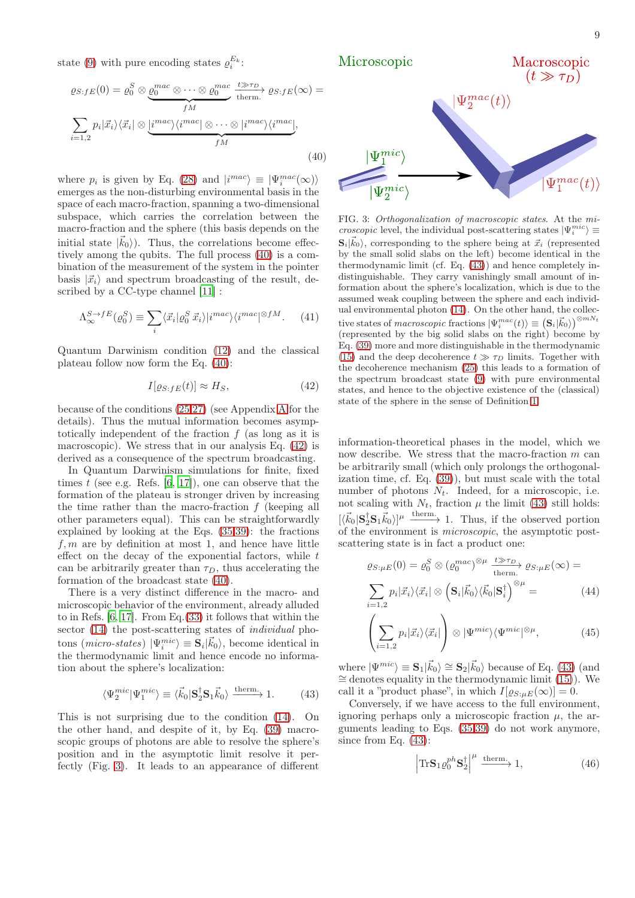state [\(9\)](#page-3-1) with pure encoding states  $\rho_i^{E_k}$ :

<span id="page-8-0"></span>
$$
\varrho_{S:fE}(0) = \varrho_0^S \otimes \underbrace{\varrho_0^{mac} \otimes \cdots \otimes \varrho_0^{mac}}_{fM} \xrightarrow[t \to \text{therm.}]{t \gg \tau_D} \varrho_{S:fE}(\infty) =
$$
\n
$$
\sum_{i=1,2} p_i |\vec{x}_i\rangle \langle \vec{x}_i| \otimes \underbrace{i^{mac}\rangle \langle i^{mac} | \otimes \cdots \otimes |i^{mac}\rangle \langle i^{mac} |}_{fM}, \tag{40}
$$

where  $p_i$  is given by Eq. [\(28\)](#page-7-5) and  $|i^{mac}\rangle \equiv |\Psi_i^{mac}(\infty)\rangle$ emerges as the non-disturbing environmental basis in the space of each macro-fraction, spanning a two-dimensional subspace, which carries the correlation between the macro-fraction and the sphere (this basis depends on the initial state  $|\vec{k}_0\rangle$ ). Thus, the correlations become effectively among the qubits. The full process [\(40\)](#page-8-0) is a combination of the measurement of the system in the pointer basis  $|\vec{x}_i\rangle$  and spectrum broadcasting of the result, described by a CC-type channel [\[11](#page-15-1)] :

$$
\Lambda_{\infty}^{S \to fE}(\varrho_0^S) \equiv \sum_i \langle \vec{x}_i | \varrho_0^S \, \vec{x}_i \rangle | i^{mac} \rangle \langle i^{mac} |^{\otimes fM}.\tag{41}
$$

Quantum Darwinism condition [\(12\)](#page-4-1) and the classical plateau follow now form the Eq. [\(40\)](#page-8-0):

<span id="page-8-1"></span>
$$
I[\varrho_{S:fE}(t)] \approx H_S,\tag{42}
$$

because of the conditions [\(25,](#page-6-6)[27\)](#page-7-6) (see Appendix [A](#page-13-0) for the details). Thus the mutual information becomes asymptotically independent of the fraction  $f$  (as long as it is macroscopic). We stress that in our analysis Eq. [\(42\)](#page-8-1) is derived as a consequence of the spectrum broadcasting.

In Quantum Darwinism simulations for finite, fixed times  $t$  (see e.g. Refs. [\[6](#page-14-5), [17\]](#page-15-5)), one can observe that the formation of the plateau is stronger driven by increasing the time rather than the macro-fraction  $f$  (keeping all other parameters equal). This can be straightforwardly explained by looking at the Eqs. [\(35,](#page-7-3)[39\)](#page-7-4): the fractions  $f, m$  are by definition at most 1, and hence have little effect on the decay of the exponential factors, while  $t$ can be arbitrarily greater than  $\tau_D$ , thus accelerating the formation of the broadcast state [\(40\)](#page-8-0).

There is a very distinct difference in the macro- and microscopic behavior of the environment, already alluded to in Refs. [\[6,](#page-14-5) [17](#page-15-5)]. From Eq.[\(33\)](#page-7-1) it follows that within the sector  $(14)$  the post-scattering states of *individual* photons (*micro-states*)  $|\Psi_i^{mic}\rangle \equiv \mathbf{S}_i|\vec{k}_0\rangle$ , become identical in the thermodynamic limit and hence encode no information about the sphere's localization:

$$
\langle \Psi_2^{\text{mic}} | \Psi_1^{\text{mic}} \rangle \equiv \langle \vec{k}_0 | \mathbf{S}_2^{\dagger} \mathbf{S}_1 \vec{k}_0 \rangle \xrightarrow{\text{therm}} 1. \tag{43}
$$

This is not surprising due to the condition [\(14\)](#page-4-2). On the other hand, and despite of it, by Eq. [\(39\)](#page-7-4) macroscopic groups of photons are able to resolve the sphere's position and in the asymptotic limit resolve it perfectly (Fig. [3\)](#page-8-2). It leads to an appearance of different



<span id="page-8-2"></span>FIG. 3: Orthogonalization of macroscopic states. At the mi*croscopic* level, the individual post-scattering states  $|\Psi_i^{mic}\rangle \equiv$  $\mathbf{S}_i | \vec{k}_0 \rangle$ , corresponding to the sphere being at  $\vec{x}_i$  (represented by the small solid slabs on the left) become identical in the thermodynamic limit (cf. Eq. [\(43\)](#page-8-3)) and hence completely indistinguishable. They carry vanishingly small amount of information about the sphere's localization, which is due to the assumed weak coupling between the sphere and each individual environmental photon [\(14\)](#page-4-2). On the other hand, the collective states of macroscopic fractions  $|\Psi_i^{mac}(t)\rangle\equiv\left(\mathbf{S}_i|\vec{k}_0\rangle\right)^{\otimes mN_t}$ (represented by the big solid slabs on the right) become by Eq. [\(39\)](#page-7-4) more and more distinguishable in the thermodynamic [\(15\)](#page-5-4) and the deep decoherence  $t \gg \tau_D$  limits. Together with the decoherence mechanism [\(25\)](#page-6-6) this leads to a formation of the spectrum broadcast state [\(9\)](#page-3-1) with pure environmental states, and hence to the objective existence of the (classical) state of the sphere in the sense of Definition [1.](#page-1-0)

information-theoretical phases in the model, which we now describe. We stress that the macro-fraction  $m$  can be arbitrarily small (which only prolongs the orthogonalization time, cf. Eq. [\(39\)](#page-7-4)), but must scale with the total number of photons  $N_t$ . Indeed, for a microscopic, i.e. not scaling with  $N_t$ , fraction  $\mu$  the limit [\(43\)](#page-8-3) still holds:  $[\langle \vec{k}_0 | \mathbf{S}_2^{\dagger} \mathbf{S}_1 \vec{k}_0 \rangle]^{\mu}$  therm. Thus, if the observed portion of the environment is microscopic, the asymptotic postscattering state is in fact a product one:

<span id="page-8-4"></span>
$$
\varrho_{S:\mu E}(0) = \varrho_0^S \otimes (\varrho_0^{mac})^{\otimes \mu} \frac{t \gg \tau_D}{\text{therm.}} \varrho_{S:\mu E}(\infty) =
$$

$$
\sum_{i=1,2} p_i |\vec{x}_i\rangle \langle \vec{x}_i| \otimes (\mathbf{S}_i |\vec{k}_0\rangle \langle \vec{k}_0 | \mathbf{S}_i^{\dagger})^{\otimes \mu} = (44)
$$

$$
\left(\sum_{i=1,2} p_i |\vec{x}_i\rangle\langle\vec{x}_i|\right) \otimes |\Psi^{mic}\rangle\langle\Psi^{mic}|^{\otimes \mu},\tag{45}
$$

<span id="page-8-3"></span>where  $|\Psi^{mic}\rangle \equiv \mathbf{S}_1|\vec{k}_0\rangle \cong \mathbf{S}_2|\vec{k}_0\rangle$  because of Eq. [\(43\)](#page-8-3) (and ∼= denotes equality in the thermodynamic limit [\(15\)](#page-5-4)). We call it a "product phase", in which  $I[\varrho_{S:\mu}E(\infty)] = 0$ .

Conversely, if we have access to the full environment, ignoring perhaps only a microscopic fraction  $\mu$ , the arguments leading to Eqs. [\(35](#page-7-3)[,39\)](#page-7-4) do not work anymore, since from Eq. [\(43\)](#page-8-3):

$$
\left|\text{Tr}\mathbf{S}_{1}\varrho_{0}^{ph}\mathbf{S}_{2}^{\dagger}\right|^{\mu}\xrightarrow{\text{therm.}}1,
$$
\n(46)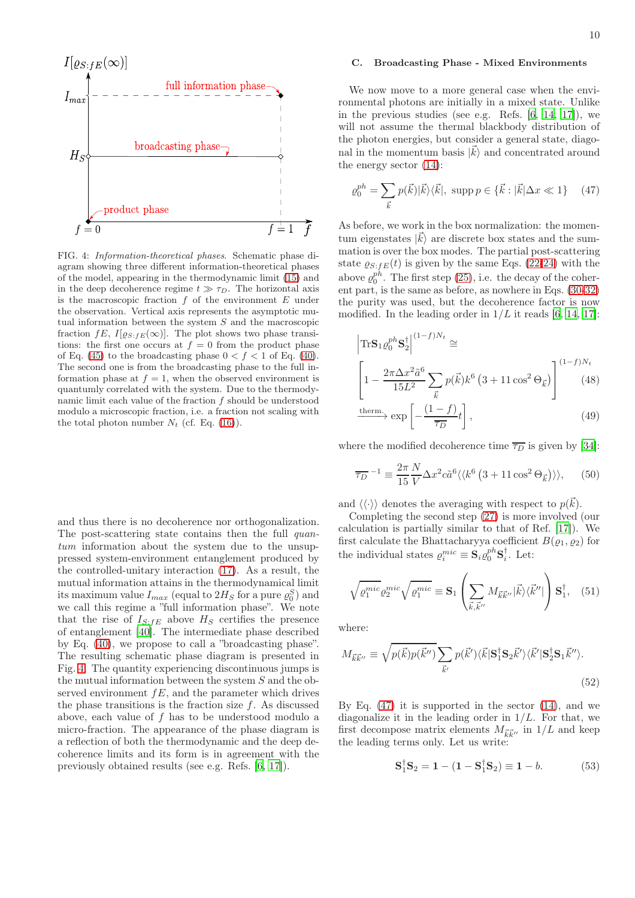

<span id="page-9-0"></span>FIG. 4: Information-theoretical phases. Schematic phase diagram showing three different information-theoretical phases of the model, appearing in the thermodynamic limit [\(15\)](#page-5-4) and in the deep decoherence regime  $t \gg \tau_D$ . The horizontal axis is the macroscopic fraction  $f$  of the environment  $E$  under the observation. Vertical axis represents the asymptotic mutual information between the system S and the macroscopic fraction  $fE, I[\varrho_{S;fE}(\infty)]$ . The plot shows two phase transitions: the first one occurs at  $f = 0$  from the product phase of Eq. [\(45\)](#page-8-4) to the broadcasting phase  $0 < f < 1$  of Eq. [\(40\)](#page-8-0). The second one is from the broadcasting phase to the full information phase at  $f = 1$ , when the observed environment is quantumly correlated with the system. Due to the thermodynamic limit each value of the fraction  $f$  should be understood modulo a microscopic fraction, i.e. a fraction not scaling with the total photon number  $N_t$  (cf. Eq. [\(16\)](#page-5-3)).

and thus there is no decoherence nor orthogonalization. The post-scattering state contains then the full *quan*tum information about the system due to the unsuppressed system-environment entanglement produced by the controlled-unitary interaction [\(17\)](#page-5-1). As a result, the mutual information attains in the thermodynamical limit its maximum value  $I_{max}$  (equal to  $2H_S$  for a pure  $\varrho_0^S$ ) and we call this regime a "full information phase". We note that the rise of  $I_{S:FE}$  above  $H_S$  certifies the presence of entanglement [\[40](#page-15-29)]. The intermediate phase described by Eq. [\(40\)](#page-8-0), we propose to call a "broadcasting phase". The resulting schematic phase diagram is presented in Fig. [4.](#page-9-0) The quantity experiencing discontinuous jumps is the mutual information between the system  $S$  and the observed environment  $fE$ , and the parameter which drives the phase transitions is the fraction size  $f$ . As discussed above, each value of  $f$  has to be understood modulo a micro-fraction. The appearance of the phase diagram is a reflection of both the thermodynamic and the deep decoherence limits and its form is in agreement with the previously obtained results (see e.g. Refs. [\[6](#page-14-5), [17](#page-15-5)]).

# C. Broadcasting Phase - Mixed Environments

We now move to a more general case when the environmental photons are initially in a mixed state. Unlike in the previous studies (see e.g. Refs. [\[6,](#page-14-5) [14](#page-15-4), [17\]](#page-15-5)), we will not assume the thermal blackbody distribution of the photon energies, but consider a general state, diagonal in the momentum basis  $|\vec{k}\rangle$  and concentrated around the energy sector [\(14\)](#page-4-2):

<span id="page-9-1"></span>
$$
\varrho_0^{ph} = \sum_{\vec{k}} p(\vec{k}) |\vec{k}\rangle\langle\vec{k}|, \text{ supp } p \in \{\vec{k} : |\vec{k}| \Delta x \ll 1\} \tag{47}
$$

As before, we work in the box normalization: the momentum eigenstates  $|\vec{k}\rangle$  are discrete box states and the summation is over the box modes. The partial post-scattering state  $\varrho_{S:fE}(t)$  is given by the same Eqs. [\(22-](#page-6-4)[24\)](#page-6-3) with the above  $\varrho_0^{ph}$ . The first step [\(25\)](#page-6-6), i.e. the decay of the coherent part, is the same as before, as nowhere in Eqs. [\(30](#page-7-7)[-32\)](#page-7-2) the purity was used, but the decoherence factor is now modified. In the leading order in  $1/L$  it reads [\[6](#page-14-5), [14,](#page-15-4) [17\]](#page-15-5):

<span id="page-9-4"></span>
$$
\left|\text{Tr}\mathbf{S}_1 \varrho_0^{ph} \mathbf{S}_2^{\dagger}\right|^{(1-f)N_t} \cong
$$
\n
$$
\left[1 - \frac{2\pi \Delta x^2 \tilde{a}^6}{15L^2} \sum_{\vec{k}} p(\vec{k}) k^6 \left(3 + 11 \cos^2 \Theta_{\vec{k}}\right)\right]^{(1-f)N_t}
$$
\n(48)\ntherm.

$$
\xrightarrow{\text{therm.}} \exp\left[-\frac{(1-f)}{\overline{\tau_D}}t\right],\tag{49}
$$

where the modified decoherence time  $\overline{\tau_D}$  is given by [\[34\]](#page-15-30):

<span id="page-9-5"></span>
$$
\overline{\tau_D}^{-1} \equiv \frac{2\pi}{15} \frac{N}{V} \Delta x^2 c \tilde{a}^6 \langle \langle k^6 (3 + 11 \cos^2 \Theta_{\vec{k}}) \rangle \rangle, \quad (50)
$$

and  $\langle \langle \cdot \rangle \rangle$  denotes the averaging with respect to  $p(\vec{k})$ .

Completing the second step [\(27\)](#page-7-6) is more involved (our calculation is partially similar to that of Ref. [\[17\]](#page-15-5)). We first calculate the Bhattacharyya coefficient  $B(\varrho_1, \varrho_2)$  for the individual states  $\varrho_i^{mic} \equiv \mathbf{S}_i \varrho_0^{ph} \mathbf{S}_i^{\dagger}$ . Let:

<span id="page-9-2"></span>
$$
\sqrt{\varrho_1^{mic}} \varrho_2^{mic} \sqrt{\varrho_1^{mic}} \equiv \mathbf{S}_1 \left( \sum_{\vec{k}, \vec{k}''} M_{\vec{k}\vec{k}''} |\vec{k}\rangle \langle \vec{k}''| \right) \mathbf{S}_1^{\dagger}, \quad (51)
$$

where:

<span id="page-9-3"></span>
$$
M_{\vec{k}\vec{k}''} \equiv \sqrt{p(\vec{k})p(\vec{k}'')} \sum_{\vec{k}'} p(\vec{k}') \langle \vec{k} | \mathbf{S}_1^{\dagger} \mathbf{S}_2 \vec{k}' \rangle \langle \vec{k}' | \mathbf{S}_2^{\dagger} \mathbf{S}_1 \vec{k}'' \rangle.
$$
\n(52)

By Eq.  $(47)$  it is supported in the sector  $(14)$ , and we diagonalize it in the leading order in  $1/L$ . For that, we first decompose matrix elements  $M_{\vec{k}\vec{k}^{\prime\prime}}$  in  $1/L$  and keep the leading terms only. Let us write:

$$
S_1^{\dagger} S_2 = 1 - (1 - S_1^{\dagger} S_2) \equiv 1 - b. \tag{53}
$$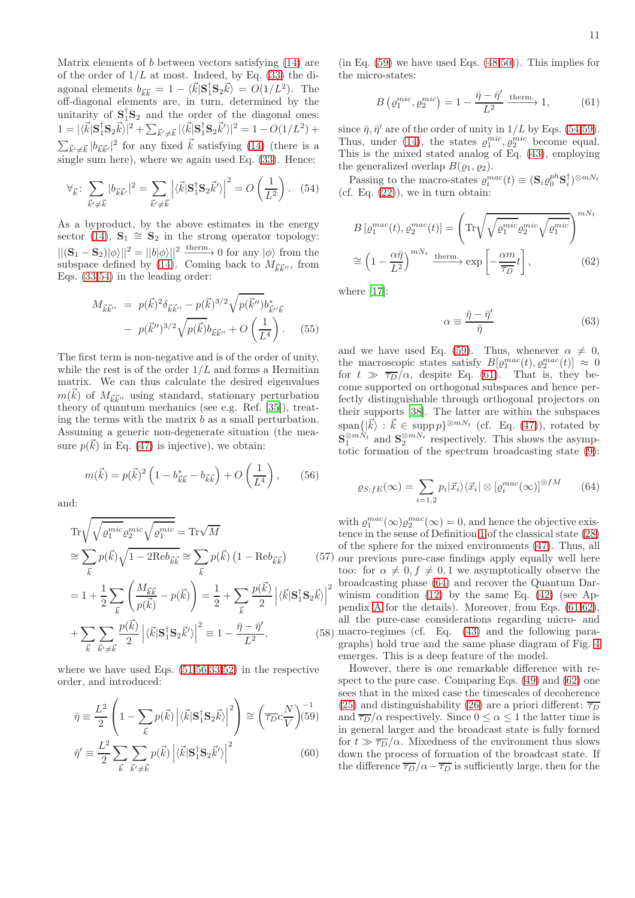Matrix elements of b between vectors satisfying [\(14\)](#page-4-2) are of the order of  $1/L$  at most. Indeed, by Eq. [\(33\)](#page-7-1) the diagonal elements  $b_{\vec{k}\vec{k}} = 1 - \langle \vec{k} | \mathbf{S}_1^{\dagger} \mathbf{S}_2 \vec{k} \rangle = O(1/L^2)$ . The off-diagonal elements are, in turn, determined by the unitarity of  $S_1^{\dagger}S_2$  and the order of the diagonal ones:  $1 = |\langle \vec{k} | \mathbf{S}_1^{\dagger} \mathbf{S}_2 \vec{k} \rangle|^2 + \sum_{\vec{k}' \neq \vec{k}} |\langle \vec{k} | \mathbf{S}_1^{\dagger} \mathbf{S}_2 \vec{k}' \rangle|^2 = 1 - O(1/L^2) +$  $\sum_{\vec{k}' \neq \vec{k}} |b_{\vec{k}\vec{k}'}|^2$  for any fixed  $\vec{k}$  satisfying [\(14\)](#page-4-2) (there is a single sum here), where we again used Eq. [\(33\)](#page-7-1). Hence:

$$
\forall_{\vec{k}} \colon \sum_{\vec{k}' \neq \vec{k}} |b_{\vec{k}\vec{k}'}|^2 = \sum_{\vec{k}' \neq \vec{k}} \left| \langle \vec{k} | \mathbf{S}_1^\dagger \mathbf{S}_2 \vec{k}' \rangle \right|^2 = O\left(\frac{1}{L^2}\right). \tag{54}
$$

As a byproduct, by the above estimates in the energy sector [\(14\)](#page-4-2),  $\mathbf{S}_1 \cong \mathbf{S}_2$  in the strong operator topology:  $||(\mathbf{S}_1 - \mathbf{S}_2)|\phi\rangle||^2 = ||b|\phi\rangle||^2 \xrightarrow{\text{therm}} 0 \text{ for any } |\phi\rangle \text{ from the}$ subspace defined by [\(14\)](#page-4-2). Coming back to  $M_{\vec{k}\vec{k}''}$ , from Eqs. [\(33,](#page-7-1)[54\)](#page-10-0) in the leading order:

$$
M_{\vec{k}\vec{k}''} = p(\vec{k})^2 \delta_{\vec{k}\vec{k}''} - p(\vec{k})^{3/2} \sqrt{p(\vec{k}'') b_{\vec{k}''\vec{k}}}
$$

$$
- p(\vec{k}'')^{3/2} \sqrt{p(\vec{k}) b_{\vec{k}\vec{k}''} + O\left(\frac{1}{L^4}\right)}.
$$
 (55)

The first term is non-negative and is of the order of unity, while the rest is of the order  $1/L$  and forms a Hermitian matrix. We can thus calculate the desired eigenvalues  $m(\vec{k})$  of  $M_{\vec{k}\vec{k}^{\prime\prime}}$  using standard, stationary perturbation theory of quantum mechanics (see e.g. Ref. [\[35\]](#page-15-24)), treating the terms with the matrix  $b$  as a small perturbation. Assuming a generic non-degenerate situation (the measure  $p(\vec{k})$  in Eq. [\(47\)](#page-9-1) is injective), we obtain:

<span id="page-10-1"></span>
$$
m(\vec{k}) = p(\vec{k})^2 \left( 1 - b_{\vec{k}\vec{k}}^* - b_{\vec{k}\vec{k}} \right) + O\left(\frac{1}{L^4}\right), \quad (56)
$$

and:

<span id="page-10-6"></span>
$$
\operatorname{Tr}\sqrt{\sqrt{\varrho_1^{mic}}\varrho_2^{mic}\sqrt{\varrho_1^{mic}}} = \operatorname{Tr}\sqrt{M}
$$

$$
\approx \sum_{\vec{k}} p(\vec{k})\sqrt{1 - 2\mathrm{Re}b_{\vec{k}\vec{k}}} \approx \sum_{\vec{k}} p(\vec{k}) (1 - \mathrm{Re}b_{\vec{k}\vec{k}})
$$
(5

$$
=1+\frac{1}{2}\sum_{\vec{k}}\left(\frac{M_{\vec{k}\vec{k}}}{p(\vec{k})}-p(\vec{k})\right)=\frac{1}{2}+\sum_{\vec{k}}\frac{p(\vec{k})}{2}\left|\langle\vec{k}|\mathbf{S}_{1}^{\dagger}\mathbf{S}_{2}\vec{k}\rangle\right|^{2}
$$

$$
+\sum_{\vec{k}}\sum_{\vec{k}'\neq\vec{k}}\frac{p(\vec{k})}{2}\left|\langle\vec{k}|\mathbf{S}_{1}^{\dagger}\mathbf{S}_{2}\vec{k}'\rangle\right|^{2}\equiv1-\frac{\bar{\eta}-\bar{\eta}'}{L^{2}},\tag{58}
$$

where we have used Eqs.  $(51,56,33,52)$  $(51,56,33,52)$  $(51,56,33,52)$  $(51,56,33,52)$  in the respective order, and introduced:

<span id="page-10-2"></span>
$$
\bar{\eta} \equiv \frac{L^2}{2} \left( 1 - \sum_{\vec{k}} p(\vec{k}) \left| \langle \vec{k} | \mathbf{S}_1^{\dagger} \mathbf{S}_2 \vec{k} \rangle \right|^2 \right) \cong \left( \overline{\tau_D} c \frac{N}{V} \right) \stackrel{-1}{(59)}
$$

$$
\bar{\eta}' \equiv \frac{L^2}{2} \sum_{\vec{k}} \sum_{\vec{k}' \neq \vec{k}} p(\vec{k}) \left| \langle \vec{k} | \mathbf{S}_1^{\dagger} \mathbf{S}_2 \vec{k}' \rangle \right|^2 \tag{60}
$$

 $(in Eq. (59)$  $(in Eq. (59)$  we have used Eqs.  $(48,50)$  $(48,50)$ ). This implies for the micro-states:

<span id="page-10-3"></span>
$$
B\left(\varrho_1^{mic}, \varrho_2^{mic}\right) = 1 - \frac{\bar{\eta} - \bar{\eta}'}{L^2} \xrightarrow{\text{therm.}} 1,\tag{61}
$$

since  $\bar{\eta}, \bar{\eta}'$  are of the order of unity in  $1/L$  by Eqs. [\(54,](#page-10-0)[59\)](#page-10-2). Thus, under [\(14\)](#page-4-2), the states  $\varrho_1^{mic}, \varrho_2^{mic}$  become equal. This is the mixed stated analog of Eq. [\(43\)](#page-8-3), employing the generalized overlap  $B(\varrho_1, \varrho_2)$ .

<span id="page-10-0"></span>Passing to the macro-states  $\varrho_i^{mac}(t) \equiv (\mathbf{S}_i \varrho_0^{ph} \mathbf{S}_i^{\dagger})^{\otimes mN_t}$ (cf. Eq.  $(22)$ ), we in turn obtain:

<span id="page-10-5"></span>
$$
B\left[\varrho_1^{mac}(t), \varrho_2^{mac}(t)\right] = \left(\text{Tr}\sqrt{\sqrt{\varrho_1^{mic}}\varrho_2^{mic}}\sqrt{\varrho_1^{mic}}\right)^{mN_t}
$$

$$
\approx \left(1 - \frac{\alpha\bar{\eta}}{L^2}\right)^{mN_t} \xrightarrow{\text{therm.}} \exp\left[-\frac{\alpha m}{\overline{\tau_D}}t\right],\tag{62}
$$

where [\[17\]](#page-15-5):

<span id="page-10-7"></span>
$$
\alpha \equiv \frac{\bar{\eta} - \bar{\eta}'}{\bar{\eta}}\tag{63}
$$

and we have used Eq. [\(59\)](#page-10-2). Thus, whenever  $\alpha \neq 0$ , the macroscopic states satisfy  $B[\varrho_1^{mac}(t), \varrho_2^{mac}(t)] \approx 0$ for  $t \gg \overline{\tau_D}/\alpha$ , despite Eq. [\(61\)](#page-10-3). That is, they become supported on orthogonal subspaces and hence perfectly distinguishable through orthogonal projectors on their supports [\[38](#page-15-27)]. The latter are within the subspaces  $\operatorname{span}\{|\vec{k}\rangle : \vec{k} \in \operatorname{supp} p\}^{\otimes mN_t}$  (cf. Eq. [\(47\)](#page-9-1)), rotated by  $\mathbf{S}_1^{\otimes mN_t}$  and  $\mathbf{S}_2^{\otimes mN_t}$  respectively. This shows the asymptotic formation of the spectrum broadcasting state [\(9\)](#page-3-1):

<span id="page-10-4"></span>
$$
\varrho_{S:fE}(\infty) = \sum_{i=1,2} p_i |\vec{x}_i\rangle\langle\vec{x}_i| \otimes \left[\varrho_i^{mac}(\infty)\right]^{\otimes fM} \tag{64}
$$

(57) our previous pure-case findings apply equally well here with  $\rho_1^{mac}(\infty)\rho_2^{mac}(\infty) = 0$ , and hence the objective existence in the sense of Definition [1](#page-1-0) of the classical state [\(28\)](#page-7-5) of the sphere for the mixed environments [\(47\)](#page-9-1). Thus, all too: for  $\alpha \neq 0, f \neq 0, 1$  we asymptotically observe the broadcasting phase [\(64\)](#page-10-4) and recover the Quantum Darwinism condition  $(12)$  by the same Eq.  $(42)$  (see Appendix [A](#page-13-0) for the details). Moreover, from Eqs. [\(61,](#page-10-3)[62\)](#page-10-5), all the pure-case considerations regarding micro- and macro-regimes (cf. Eq. [\(43\)](#page-8-3) and the following paragraphs) hold true and the same phase diagram of Fig. [4](#page-9-0) emerges. This is a deep feature of the model.

However, there is one remarkable difference with respect to the pure case. Comparing Eqs. [\(49\)](#page-9-4) and [\(62\)](#page-10-5) one sees that in the mixed case the timescales of decoherence [\(25\)](#page-6-6) and distinguishability [\(26\)](#page-6-5) are a priori different:  $\overline{\tau_D}$ and  $\overline{\tau_D}/\alpha$  respectively. Since  $0 \leq \alpha \leq 1$  the latter time is in general larger and the broadcast state is fully formed for  $t \gg \overline{\tau_D}/\alpha$ . Mixedness of the environment thus slows down the process of formation of the broadcast state. If the difference  $\overline{\tau_D}/\alpha - \overline{\tau_D}$  is sufficiently large, then for the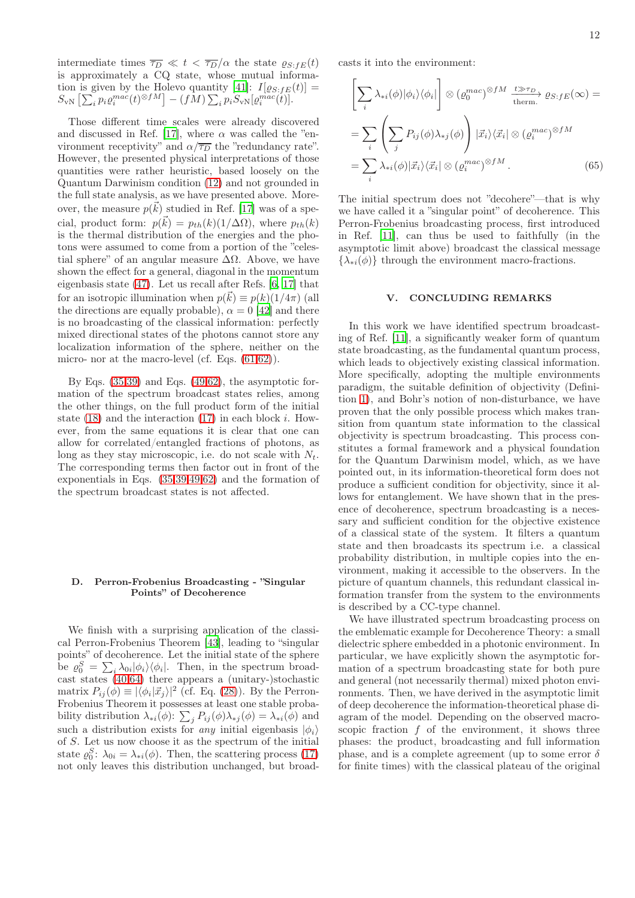intermediate times  $\overline{\tau_D} \ll t < \overline{\tau_D}/\alpha$  the state  $\varrho_{S:FE}(t)$ is approximately a CQ state, whose mutual informa-tion is given by the Holevo quantity [\[41\]](#page-15-31):  $I[\varrho_{S:FE}(t)] =$  $S_{\text{vN}}\left[\sum_{i} p_{i} \varrho_{i}^{mac}(t)^{\otimes fM}\right] - (fM)\sum_{i} p_{i} \overline{S}_{\text{vN}}[\varrho_{i}^{mac}(t)].$ 

Those different time scales were already discovered and discussed in Ref. [\[17](#page-15-5)], where  $\alpha$  was called the "environment receptivity" and  $\alpha/\overline{\tau_D}$  the "redundancy rate". However, the presented physical interpretations of those quantities were rather heuristic, based loosely on the Quantum Darwinism condition [\(12\)](#page-4-1) and not grounded in the full state analysis, as we have presented above. Moreover, the measure  $p(\vec{k})$  studied in Ref. [\[17\]](#page-15-5) was of a special, product form:  $p(\vec{k}) = p_{th}(k)(1/\Delta\Omega)$ , where  $p_{th}(k)$ is the thermal distribution of the energies and the photons were assumed to come from a portion of the "celestial sphere" of an angular measure  $\Delta\Omega$ . Above, we have shown the effect for a general, diagonal in the momentum eigenbasis state [\(47\)](#page-9-1). Let us recall after Refs. [\[6,](#page-14-5) [17](#page-15-5)] that for an isotropic illumination when  $p(\vec{k}) \equiv p(k)(1/4\pi)$  (all the directions are equally probable),  $\alpha = 0$  [\[42\]](#page-15-32) and there is no broadcasting of the classical information: perfectly mixed directional states of the photons cannot store any localization information of the sphere, neither on the micro- nor at the macro-level (cf. Eqs.  $(61,62)$  $(61,62)$ ).

By Eqs.  $(35,39)$  $(35,39)$  and Eqs.  $(49,62)$  $(49,62)$ , the asymptotic formation of the spectrum broadcast states relies, among the other things, on the full product form of the initial state  $(18)$  and the interaction  $(17)$  in each block *i*. However, from the same equations it is clear that one can allow for correlated/entangled fractions of photons, as long as they stay microscopic, i.e. do not scale with  $N_t$ . The corresponding terms then factor out in front of the exponentials in Eqs. [\(35,](#page-7-3)[39,](#page-7-4)[49](#page-9-4)[,62\)](#page-10-5) and the formation of the spectrum broadcast states is not affected.

### D. Perron-Frobenius Broadcasting - "Singular Points" of Decoherence

We finish with a surprising application of the classical Perron-Frobenius Theorem [\[43](#page-15-33)], leading to "singular points" of decoherence. Let the initial state of the sphere be  $\varrho_0^S = \sum_i \lambda_{0i} |\phi_i\rangle\langle\phi_i|$ . Then, in the spectrum broadcast states [\(40,](#page-8-0)[64\)](#page-10-4) there appears a (unitary-)stochastic matrix  $P_{ij}(\phi) \equiv |\langle \phi_i | \vec{x}_j \rangle|^2$  (cf. Eq. [\(28\)](#page-7-5)). By the Perron-Frobenius Theorem it possesses at least one stable probability distribution  $\lambda_{*i}(\phi)$ :  $\sum_j P_{ij}(\phi) \lambda_{*j}(\phi) = \lambda_{*i}(\phi)$  and such a distribution exists for *any* initial eigenbasis  $|\phi_i\rangle$ of S. Let us now choose it as the spectrum of the initial state  $\varrho_0^S$ :  $\lambda_{0i} = \lambda_{*i}(\phi)$ . Then, the scattering process [\(17\)](#page-5-1) not only leaves this distribution unchanged, but broadcasts it into the environment:

$$
\left[\sum_{i} \lambda_{*i}(\phi)|\phi_{i}\rangle\langle\phi_{i}|\right] \otimes \left(\varrho_{0}^{mac}\right)^{\otimes fM} \xrightarrow{\;t\gg\tau_{D}\;}{\;0s:fE}(\infty) =
$$
\n
$$
= \sum_{i} \left(\sum_{j} P_{ij}(\phi)\lambda_{*j}(\phi)\right) |\vec{x}_{i}\rangle\langle\vec{x}_{i}| \otimes \left(\varrho_{i}^{mac}\right)^{\otimes fM}
$$
\n
$$
= \sum_{i} \lambda_{*i}(\phi)|\vec{x}_{i}\rangle\langle\vec{x}_{i}| \otimes \left(\varrho_{i}^{mac}\right)^{\otimes fM}.
$$
\n(65)

The initial spectrum does not "decohere"—that is why we have called it a "singular point" of decoherence. This Perron-Frobenius broadcasting process, first introduced in Ref. [\[11](#page-15-1)], can thus be used to faithfully (in the asymptotic limit above) broadcast the classical message  $\{\lambda_{*i}(\phi)\}\$  through the environment macro-fractions.

## V. CONCLUDING REMARKS

In this work we have identified spectrum broadcasting of Ref. [\[11](#page-15-1)], a significantly weaker form of quantum state broadcasting, as the fundamental quantum process, which leads to objectively existing classical information. More specifically, adopting the multiple environments paradigm, the suitable definition of objectivity (Definition [1\)](#page-1-0), and Bohr's notion of non-disturbance, we have proven that the only possible process which makes transition from quantum state information to the classical objectivity is spectrum broadcasting. This process constitutes a formal framework and a physical foundation for the Quantum Darwinism model, which, as we have pointed out, in its information-theoretical form does not produce a sufficient condition for objectivity, since it allows for entanglement. We have shown that in the presence of decoherence, spectrum broadcasting is a necessary and sufficient condition for the objective existence of a classical state of the system. It filters a quantum state and then broadcasts its spectrum i.e. a classical probability distribution, in multiple copies into the environment, making it accessible to the observers. In the picture of quantum channels, this redundant classical information transfer from the system to the environments is described by a CC-type channel.

We have illustrated spectrum broadcasting process on the emblematic example for Decoherence Theory: a small dielectric sphere embedded in a photonic environment. In particular, we have explicitly shown the asymptotic formation of a spectrum broadcasting state for both pure and general (not necessarily thermal) mixed photon environments. Then, we have derived in the asymptotic limit of deep decoherence the information-theoretical phase diagram of the model. Depending on the observed macroscopic fraction  $f$  of the environment, it shows three phases: the product, broadcasting and full information phase, and is a complete agreement (up to some error  $\delta$ for finite times) with the classical plateau of the original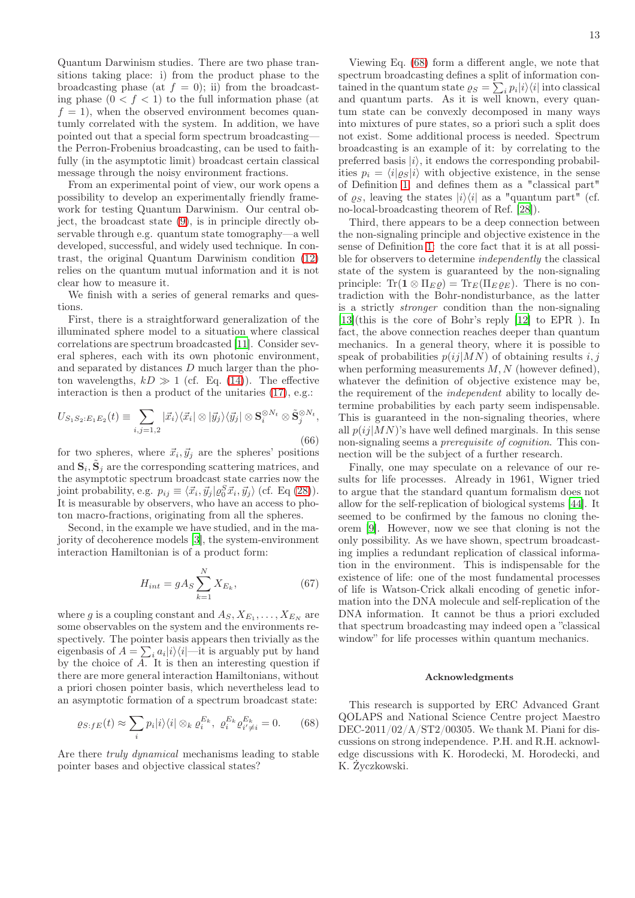Quantum Darwinism studies. There are two phase transitions taking place: i) from the product phase to the broadcasting phase (at  $f = 0$ ); ii) from the broadcasting phase  $(0 < f < 1)$  to the full information phase (at  $f = 1$ , when the observed environment becomes quantumly correlated with the system. In addition, we have pointed out that a special form spectrum broadcasting the Perron-Frobenius broadcasting, can be used to faithfully (in the asymptotic limit) broadcast certain classical message through the noisy environment fractions.

From an experimental point of view, our work opens a possibility to develop an experimentally friendly framework for testing Quantum Darwinism. Our central object, the broadcast state [\(9\)](#page-3-1), is in principle directly observable through e.g. quantum state tomography—a well developed, successful, and widely used technique. In contrast, the original Quantum Darwinism condition [\(12\)](#page-4-1) relies on the quantum mutual information and it is not clear how to measure it.

We finish with a series of general remarks and questions.

First, there is a straightforward generalization of the illuminated sphere model to a situation where classical correlations are spectrum broadcasted [\[11\]](#page-15-1). Consider several spheres, each with its own photonic environment, and separated by distances D much larger than the photon wavelengths,  $kD \gg 1$  (cf. Eq. [\(14\)](#page-4-2)). The effective interaction is then a product of the unitaries [\(17\)](#page-5-1), e.g.:

$$
U_{S_1S_2:E_1E_2}(t) \equiv \sum_{i,j=1,2} |\vec{x}_i\rangle\langle\vec{x}_i| \otimes |\vec{y}_j\rangle\langle\vec{y}_j| \otimes \mathbf{S}_i^{\otimes N_t} \otimes \tilde{\mathbf{S}}_j^{\otimes N_t},\tag{66}
$$

for two spheres, where  $\vec{x}_i, \vec{y}_j$  are the spheres' positions and  $\mathbf{S}_i$ ,  $\tilde{\mathbf{S}}_j$  are the corresponding scattering matrices, and the asymptotic spectrum broadcast state carries now the joint probability, e.g.  $p_{ij} \equiv \langle \vec{x}_i, \vec{y}_j | \varrho_0^S \vec{x}_i, \vec{y}_j \rangle$  (cf. Eq [\(28\)](#page-7-5)). It is measurable by observers, who have an access to photon macro-fractions, originating from all the spheres.

Second, in the example we have studied, and in the majority of decoherence models [\[3\]](#page-14-2), the system-environment interaction Hamiltonian is of a product form:

$$
H_{int} = gA_S \sum_{k=1}^{N} X_{E_k},\tag{67}
$$

where g is a coupling constant and  $A_S, X_{E_1}, \ldots, X_{E_N}$  are some observables on the system and the environments respectively. The pointer basis appears then trivially as the eigenbasis of  $A = \sum_i a_i |i\rangle\langle i|$ —it is arguably put by hand by the choice of A. It is then an interesting question if there are more general interaction Hamiltonians, without a priori chosen pointer basis, which nevertheless lead to an asymptotic formation of a spectrum broadcast state:

$$
\varrho_{S:fE}(t) \approx \sum_{i} p_i |i\rangle\langle i| \otimes_k \varrho_i^{E_k}, \ \varrho_i^{E_k} \varrho_{i' \neq i}^{E_k} = 0. \tag{68}
$$

Are there truly dynamical mechanisms leading to stable pointer bases and objective classical states?

Viewing Eq. [\(68\)](#page-12-0) form a different angle, we note that spectrum broadcasting defines a split of information contained in the quantum state  $\rho_S = \sum_i p_i |i\rangle\langle i|$  into classical and quantum parts. As it is well known, every quantum state can be convexly decomposed in many ways into mixtures of pure states, so a priori such a split does not exist. Some additional process is needed. Spectrum broadcasting is an example of it: by correlating to the preferred basis  $|i\rangle$ , it endows the corresponding probabilities  $p_i = \langle i | \rho_S | i \rangle$  with objective existence, in the sense of Definition [1,](#page-1-0) and defines them as a "classical part" of  $\rho_S$ , leaving the states  $|i\rangle\langle i|$  as a "quantum part" (cf. no-local-broadcasting theorem of Ref. [\[28\]](#page-15-16)).

Third, there appears to be a deep connection between the non-signaling principle and objective existence in the sense of Definition [1:](#page-1-0) the core fact that it is at all possible for observers to determine *independently* the classical state of the system is guaranteed by the non-signaling principle:  $\text{Tr}(\mathbf{1} \otimes \Pi_E \varrho) = \text{Tr}_E(\Pi_E \varrho_E)$ . There is no contradiction with the Bohr-nondisturbance, as the latter is a strictly stronger condition than the non-signaling [\[13\]](#page-15-3)(this is the core of Bohr's reply [\[12\]](#page-15-2) to EPR ). In fact, the above connection reaches deeper than quantum mechanics. In a general theory, where it is possible to speak of probabilities  $p(i|MN)$  of obtaining results i, j when performing measurements  $M, N$  (however defined), whatever the definition of objective existence may be, the requirement of the independent ability to locally determine probabilities by each party seem indispensable. This is guaranteed in the non-signaling theories, where all  $p(ij|MN)$ 's have well defined marginals. In this sense non-signaling seems a *prerequisite of cognition*. This connection will be the subject of a further research.

Finally, one may speculate on a relevance of our results for life processes. Already in 1961, Wigner tried to argue that the standard quantum formalism does not allow for the self-replication of biological systems [\[44\]](#page-16-0). It seemed to be confirmed by the famous no cloning theorem [\[9\]](#page-14-8). However, now we see that cloning is not the only possibility. As we have shown, spectrum broadcasting implies a redundant replication of classical information in the environment. This is indispensable for the existence of life: one of the most fundamental processes of life is Watson-Crick alkali encoding of genetic information into the DNA molecule and self-replication of the DNA information. It cannot be thus a priori excluded that spectrum broadcasting may indeed open a "classical window" for life processes within quantum mechanics.

#### Acknowledgments

<span id="page-12-0"></span>This research is supported by ERC Advanced Grant QOLAPS and National Science Centre project Maestro  $DEC-2011/02/A/ST2/00305$ . We thank M. Piani for discussions on strong independence. P.H. and R.H. acknowledge discussions with K. Horodecki, M. Horodecki, and K. Życzkowski.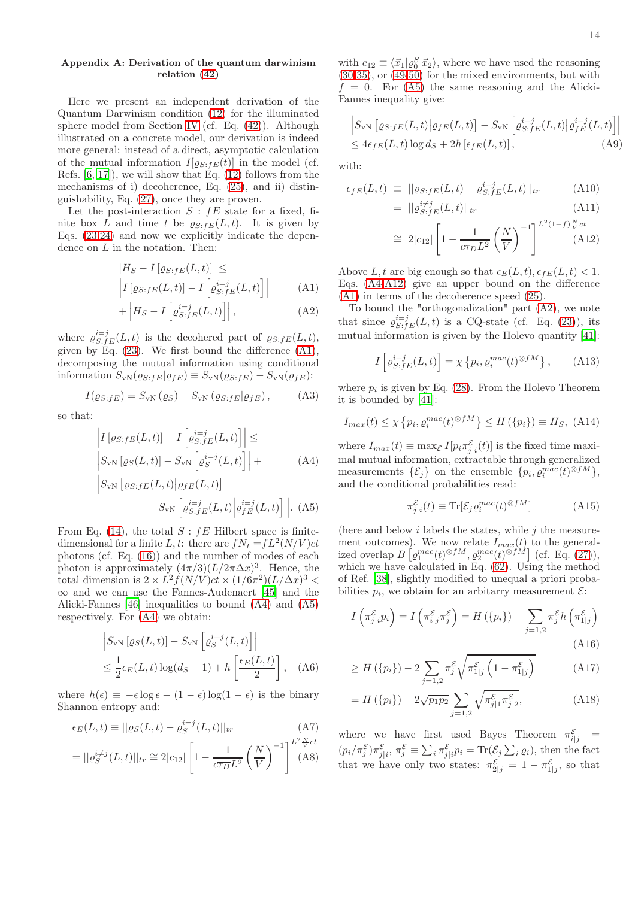# <span id="page-13-0"></span>Appendix A: Derivation of the quantum darwinism relation [\(42\)](#page-8-1)

Here we present an independent derivation of the Quantum Darwinism condition [\(12\)](#page-4-1) for the illuminated sphere model from Section [IV](#page-4-3) (cf. Eq. [\(42\)](#page-8-1)). Although illustrated on a concrete model, our derivation is indeed more general: instead of a direct, asymptotic calculation of the mutual information  $I[\varrho_{S:FE}(t)]$  in the model (cf. Refs. [\[6](#page-14-5), [17\]](#page-15-5)), we will show that Eq. [\(12\)](#page-4-1) follows from the mechanisms of i) decoherence, Eq. [\(25\)](#page-6-6), and ii) distinguishability, Eq. [\(27\)](#page-7-6), once they are proven.

Let the post-interaction  $S : fE$  state for a fixed, finite box L and time t be  $\varrho_{S:fE}(L, t)$ . It is given by Eqs. [\(23,24\)](#page-6-3) and now we explicitly indicate the dependence on  $L$  in the notation. Then:

<span id="page-13-1"></span>
$$
|H_S - I[g_{S:FE}(L, t)]| \le
$$
  
\n
$$
\left| I[g_{S:FE}(L, t)] - I\left[e_{S:FE}^{i=j}(L, t)\right] \right|
$$
 (A1)

$$
+\left|H_S - I\left[\varrho_{S:fE}^{i=j}(L,t)\right]\right|,\tag{A2}
$$

where  $\varrho_{S:fE}^{i=j}(L,t)$  is the decohered part of  $\varrho_{S:fE}(L,t)$ , given by Eq.  $(23)$ . We first bound the difference  $(A1)$ , decomposing the mutual information using conditional information  $S_{\rm vN}(\varrho_{S:FE}|\varrho_{fE}) \equiv S_{\rm vN}(\varrho_{S:FE}) - S_{\rm vN}(\varrho_{fE})$ :

$$
I(\varrho_{S:FE}) = S_{\rm vN}(\varrho_S) - S_{\rm vN}(\varrho_{S:FE}|\varrho_{FE}), \tag{A3}
$$

so that:

<span id="page-13-2"></span>
$$
\left| I\left[\varrho_{S:fE}(L,t)\right] - I\left[\varrho_{S:fE}^{i=j}(L,t)\right] \right| \leq
$$
\n
$$
\left| S_{\rm vN}\left[\varrho_{S}(L,t)\right] - S_{\rm vN}\left[\varrho_{S}^{i=j}(L,t)\right] \right| +
$$
\n(A4)

$$
\left| S_{\rm vN} \left[ \varrho_{S:JE}(L,t) \middle| \varrho_{fE}(L,t) \right] \right|
$$

$$
- S_{\rm vN} \left[ \varrho_{S:FE}^{i=j}(L,t) \middle| \varrho_{fE}^{i=j}(L,t) \right] \Big| .
$$
 (A5)

From Eq. [\(14\)](#page-4-2), the total  $S : fE$  Hilbert space is finitedimensional for a finite L, t: there are  $fN_t = fL^2(N/V)ct$ photons (cf. Eq. [\(16\)](#page-5-3)) and the number of modes of each photon is approximately  $(4\pi/3)(L/2\pi\Delta x)^3$ . Hence, the total dimension is  $2 \times L^2 f(N/V)ct \times (1/6\pi^2)(L/\Delta x)^3$  $\infty$  and we can use the Fannes-Audenaert [\[45\]](#page-16-1) and the Alicki-Fannes [\[46\]](#page-16-2) inequalities to bound [\(A4\)](#page-13-2) and [\(A5\)](#page-13-2) respectively. For [\(A4\)](#page-13-2) we obtain:

$$
\begin{aligned} & \left| S_{\rm vN} \left[ \varrho_S(L, t) \right] - S_{\rm vN} \left[ \varrho_S^{i=j}(L, t) \right] \right| \\ &\le \frac{1}{2} \epsilon_E(L, t) \log(d_S - 1) + h \left[ \frac{\epsilon_E(L, t)}{2} \right], \quad \text{(A6)} \end{aligned}
$$

where  $h(\epsilon) \equiv -\epsilon \log \epsilon - (1 - \epsilon) \log(1 - \epsilon)$  is the binary Shannon entropy and:

<span id="page-13-5"></span>
$$
\epsilon_E(L,t) \equiv ||\varrho_S(L,t) - \varrho_S^{i=j}(L,t)||_{tr}
$$
\n
$$
\begin{aligned}\n\mathbf{A}(T) &= \frac{1}{2} \mathbf{A}(T) \mathbf{A}(T) \\
\mathbf{A}(T) &= \frac{1}{2} \mathbf{A}(T) \mathbf{A}(T) \mathbf{A}(T)\n\end{aligned}
$$

$$
= ||\varrho_S^{i \neq j}(L, t)||_{tr} \cong 2|c_{12}| \left[ 1 - \frac{1}{c\overline{\tau_D}L^2} \left( \frac{N}{V} \right)^{-1} \right]^{L^2 \frac{N}{N}ct} (A8)
$$

with  $c_{12} \equiv \langle \vec{x}_1 | \varrho_0^S \vec{x}_2 \rangle$ , where we have used the reasoning [\(30](#page-7-7)[-35\)](#page-7-3), or [\(49-](#page-9-4)[50\)](#page-9-5) for the mixed environments, but with  $f = 0$ . For  $(A5)$  the same reasoning and the Alicki-Fannes inequality give:

$$
\begin{aligned} & \left| S_{\rm vN} \left[ \varrho_{S:fE}(L,t) \middle| \varrho_{fE}(L,t) \right] - S_{\rm vN} \left[ \varrho_{S:fE}^{i=j}(L,t) \middle| \varrho_{fE}^{i=j}(L,t) \right] \right| \\ &\leq 4\epsilon_{fE}(L,t) \log d_{S} + 2h \left[ \epsilon_{fE}(L,t) \right], \end{aligned} \tag{A9}
$$

with:

<span id="page-13-3"></span>
$$
\epsilon_{fE}(L,t) \equiv ||\varrho_{S:fE}(L,t) - \varrho_{S:fE}^{i=j}(L,t)||_{tr}
$$
\n(A10)\n
$$
= ||\varrho_{S,fE}^{i+j}(L,t)||_{tr}
$$

$$
= \|\varrho_{S:fE}^{i\neq j}(L,t)\|_{tr} \tag{A11}
$$

$$
\cong 2|c_{12}| \left[ 1 - \frac{1}{c\overline{\tau_D}L^2} \left( \frac{N}{V} \right)^{-1} \right]^{L^2(1-f)\frac{N}{V}ct} \tag{A12}
$$

Above L, t are big enough so that  $\epsilon_E(L, t)$ ,  $\epsilon_{fE}(L, t) < 1$ . Eqs. [\(A4](#page-13-2)[-A12\)](#page-13-3) give an upper bound on the difference [\(A1\)](#page-13-1) in terms of the decoherence speed [\(25\)](#page-6-6).

To bound the "orthogonalization" part [\(A2\)](#page-13-1), we note that since  $\varrho_{S:fE}^{i=j}(L,t)$  is a CQ-state (cf. Eq. [\(23\)](#page-6-3)), its mutual information is given by the Holevo quantity [\[41\]](#page-15-31):

<span id="page-13-4"></span>
$$
I\left[\varrho_{S:FE}^{i=j}(L,t)\right] = \chi\left\{p_i, \varrho_i^{mac}(t)^{\otimes fM}\right\},\qquad\text{(A13)}
$$

where  $p_i$  is given by Eq. [\(28\)](#page-7-5). From the Holevo Theorem it is bounded by [\[41](#page-15-31)]:

$$
I_{max}(t) \le \chi \left\{ p_i, \varrho_i^{mac}(t)^{\otimes fM} \right\} \le H \left( \left\{ p_i \right\} \right) \equiv H_S, \text{ (A14)}
$$

where  $I_{max}(t) \equiv \max_{\mathcal{E}} I[p_i \pi_{j|i}^{\mathcal{E}}(t)]$  is the fixed time maximal mutual information, extractable through generalized measurements  $\{\mathcal{E}_j\}$  on the ensemble  $\{p_i, \varrho_i^{mac}(t)^{\otimes fM}\},$ and the conditional probabilities read:

$$
\pi_{j|i}^{\mathcal{E}}(t) \equiv \text{Tr}[\mathcal{E}_j \varrho_i^{mac}(t)^{\otimes fM}] \tag{A15}
$$

(here and below  $i$  labels the states, while  $j$  the measurement outcomes). We now relate  $I_{max}(t)$  to the generalized overlap  $B\left[\varrho_1^{mac}(t)^{\otimes fM}, \varrho_2^{mac}(t)^{\otimes fM}\right]$  (cf. Eq. [\(27\)](#page-7-6)), which we have calculated in Eq.  $(62)$ . Using the method of Ref. [\[38\]](#page-15-27), slightly modified to unequal a priori probabilities  $p_i$ , we obtain for an arbitarry measurement  $\mathcal{E}$ :

$$
I\left(\pi_{j|i}^{\mathcal{E}}p_i\right) = I\left(\pi_{i|j}^{\mathcal{E}}\pi_j^{\mathcal{E}}\right) = H\left(\{p_i\}\right) - \sum_{j=1,2} \pi_j^{\mathcal{E}} h\left(\pi_{1|j}^{\mathcal{E}}\right)
$$
\n(A16)

$$
\geq H\left(\{p_i\}\right) - 2 \sum_{j=1,2} \pi_j^{\mathcal{E}} \sqrt{\pi_{1|j}^{\mathcal{E}} \left(1 - \pi_{1|j}^{\mathcal{E}}\right)} \tag{A17}
$$

$$
= H(\{p_i\}) - 2\sqrt{p_1 p_2} \sum_{j=1,2} \sqrt{\pi_{j|1}^{\mathcal{E}} \pi_{j|2}^{\mathcal{E}}},
$$
 (A18)

where we have first used Bayes Theorem  $\pi_{i|j}^{\mathcal{E}}$  =  $(p_i/\pi_j^{\mathcal{E}})\pi_{j|i}^{\mathcal{E}}, \pi_j^{\mathcal{E}}\equiv\sum_i \pi_{j|i}^{\mathcal{E}}p_i = \text{Tr}(\mathcal{E}_j\sum_i \varrho_i)$ , then the fact that we have only two states:  $\pi_{2|j}^{\mathcal{E}} = 1 - \pi_{1|j}^{\mathcal{E}}$ , so that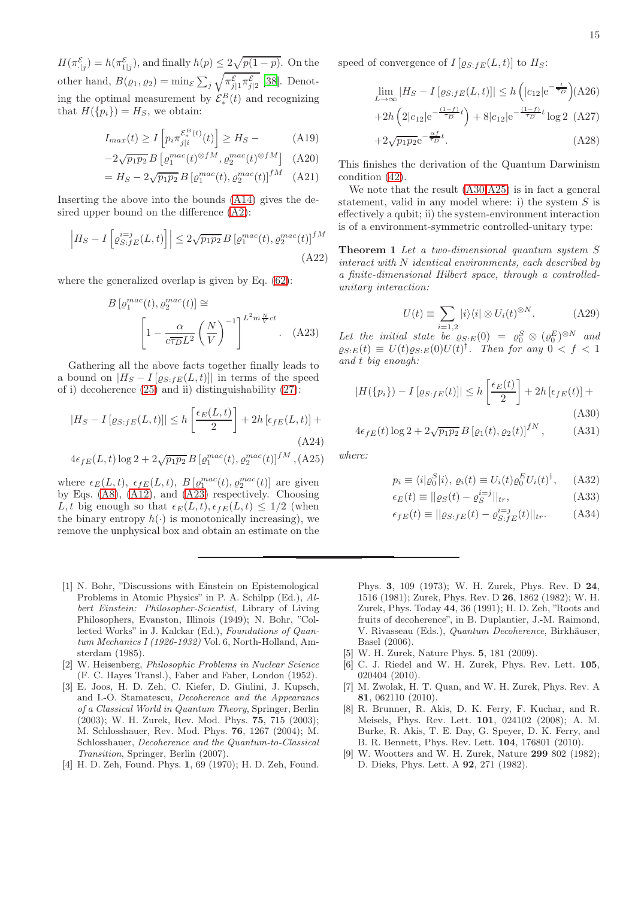$H(\pi_{\cdot|j}^{\mathcal{E}}) = h(\pi_{1|j}^{\mathcal{E}})$ , and finally  $h(p) \leq 2\sqrt{p(1-p)}$ . On the other hand,  $B(\varrho_1, \varrho_2) = \min_{\mathcal{E}} \sum_j \sqrt{\pi_{j|1}^{\mathcal{E}} \pi_{j|2}^{\mathcal{E}}}$  [\[38](#page-15-27)]. Denoting the optimal measurement by  $\mathcal{E}_{*}^{B}(t)$  and recognizing that  $H({p_i}) = H_S$ , we obtain:

$$
I_{max}(t) \ge I \left[ p_i \pi_{j|i}^{\mathcal{E}_s^B(t)}(t) \right] \ge H_S - \tag{A19}
$$

$$
-2\sqrt{p_1p_2} B\left[\varrho_1^{mac}(t)^{\otimes fM}, \varrho_2^{mac}(t)^{\otimes fM}\right] \quad \text{(A20)}
$$

$$
= H_S - 2\sqrt{p_1 p_2} B \left[ \varrho_1^{mac}(t), \varrho_2^{mac}(t) \right]^{fM} \quad (A21)
$$

Inserting the above into the bounds [\(A14\)](#page-13-4) gives the desired upper bound on the difference [\(A2\)](#page-13-1):

$$
\left| H_S - I \left[ \varrho_{S:fe}^{i=j}(L, t) \right] \right| \leq 2\sqrt{p_1 p_2} B \left[ \varrho_1^{mac}(t), \varrho_2^{mac}(t) \right]^{fM}
$$
\n(A22)

where the generalized overlap is given by Eq. [\(62\)](#page-10-5):

<span id="page-14-9"></span>
$$
B\left[\varrho_1^{mac}(t), \varrho_2^{mac}(t)\right] \cong \left[1 - \frac{\alpha}{c\overline{\tau_D}L^2} \left(\frac{N}{V}\right)^{-1}\right]^{L^2 m \frac{N}{V}ct}.
$$
 (A23)

Gathering all the above facts together finally leads to a bound on  $|H_S - I[\varrho_{S:FE}(L, t)]|$  in terms of the speed of i) decoherence [\(25\)](#page-6-6) and ii) distinguishability [\(27\)](#page-7-6):

<span id="page-14-11"></span>
$$
|H_S - I\left[\varrho_{S:FE}(L,t)\right]| \le h\left[\frac{\epsilon_E(L,t)}{2}\right] + 2h\left[\epsilon_{fE}(L,t)\right] +
$$
\n(A24)

$$
4\epsilon_{fE}(L,t)\log 2 + 2\sqrt{p_1p_2} B \left[ \varrho_1^{mac}(t), \varrho_2^{mac}(t) \right]^{fM}, (A25)
$$

where  $\epsilon_E(L, t)$ ,  $\epsilon_{fE}(L, t)$ ,  $B\left[\varrho_1^{mac}(t), \varrho_2^{mac}(t)\right]$  are given by Eqs. [\(A8\)](#page-13-5), [\(A12\)](#page-13-3), and [\(A23\)](#page-14-9) respectively. Choosing L, t big enough so that  $\epsilon_E(L, t), \epsilon_{fE}(L, t) \leq 1/2$  (when the binary entropy  $h(\cdot)$  is monotonically increasing), we remove the unphysical box and obtain an estimate on the

- <span id="page-14-0"></span>[1] N. Bohr, "Discussions with Einstein on Epistemological Problems in Atomic Physics" in P. A. Schilpp (Ed.), Albert Einstein: Philosopher-Scientist, Library of Living Philosophers, Evanston, Illinois (1949); N. Bohr, "Collected Works" in J. Kalckar (Ed.), Foundations of Quantum Mechanics I (1926-1932) Vol. 6, North-Holland, Amsterdam (1985).
- <span id="page-14-1"></span>[2] W. Heisenberg, Philosophic Problems in Nuclear Science (F. C. Hayes Transl.), Faber and Faber, London (1952).
- <span id="page-14-2"></span>[3] E. Joos, H. D. Zeh, C. Kiefer, D. Giulini, J. Kupsch, and I.-O. Stamatescu, Decoherence and the Appearancs of a Classical World in Quantum Theory, Springer, Berlin (2003); W. H. Zurek, Rev. Mod. Phys. 75, 715 (2003); M. Schlosshauer, Rev. Mod. Phys. 76, 1267 (2004); M. Schlosshauer, Decoherence and the Quantum-to-Classical Transition, Springer, Berlin (2007).
- <span id="page-14-3"></span>[4] H. D. Zeh, Found. Phys. 1, 69 (1970); H. D. Zeh, Found.

speed of convergence of  $I\left[ \varrho_{S:FE}(L,t)\right]$  to  $H_S$ :

$$
\lim_{L \to \infty} |H_S - I[\varrho_{S \cdot fE}(L, t)]| \le h\left(|c_{12}|e^{-\frac{t}{\overline{\tau_D}}}\right)(A26) + 2h\left(2|c_{12}|e^{-\frac{(1-f)}{\overline{\tau_D}}t}\right) + 8|c_{12}|e^{-\frac{(1-f)}{\overline{\tau_D}}t}\log 2\tag{A27}
$$
\n
$$
+2\sqrt{p_1p_2}e^{-\frac{\alpha f}{\overline{\tau_D}}t}.\tag{A28}
$$

This finishes the derivation of the Quantum Darwinism condition [\(42\)](#page-8-1).

We note that the result [\(A30,](#page-14-10)[A25\)](#page-14-11) is in fact a general statement, valid in any model where: i) the system  $S$  is effectively a qubit; ii) the system-environment interaction is of a environment-symmetric controlled-unitary type:

Theorem 1 Let a two-dimensional quantum system S interact with N identical environments, each described by a finite-dimensional Hilbert space, through a controlledunitary interaction:

$$
U(t) \equiv \sum_{i=1,2} |i\rangle\langle i| \otimes U_i(t)^{\otimes N}.
$$
 (A29)

Let the initial state be  $\rho_{S:E}(0) = \rho_0^S \otimes (\rho_0^E)^{\otimes N}$  and  $\varrho_{S:E}(t) \equiv U(t) \varrho_{S:E}(0) U(t)^{\dagger}$ . Then for any  $0 < f < 1$ and t big enough:

<span id="page-14-10"></span>
$$
|H(\{p_i\}) - I\left[\varrho_{S:fE}(t)\right]| \le h\left[\frac{\epsilon_E(t)}{2}\right] + 2h\left[\epsilon_{fE}(t)\right] +
$$
\n(A30)

$$
4\epsilon_{fE}(t)\log 2 + 2\sqrt{p_1p_2} B\left[\varrho_1(t), \varrho_2(t)\right]^{fN},\tag{A31}
$$

where:

$$
p_i \equiv \langle i | \varrho_0^S | i \rangle, \, \varrho_i(t) \equiv U_i(t) \varrho_0^E U_i(t)^\dagger, \quad \text{(A32)}
$$

$$
\epsilon_E(t) \equiv ||\varrho_S(t) - \varrho_S^{i=j}||_{tr},\tag{A33}
$$

$$
\epsilon_{fE}(t) \equiv ||\varrho_{S:fE}(t) - \varrho_{S:fE}^{i=j}(t)||_{tr}.
$$
 (A34)

Phys. 3, 109 (1973); W. H. Zurek, Phys. Rev. D 24, 1516 (1981); Zurek, Phys. Rev. D 26, 1862 (1982); W. H. Zurek, Phys. Today 44, 36 (1991); H. D. Zeh, "Roots and fruits of decoherence", in B. Duplantier, J.-M. Raimond, V. Rivasseau (Eds.), Quantum Decoherence, Birkhäuser, Basel (2006).

- <span id="page-14-4"></span>[5] W. H. Zurek, Nature Phys. 5, 181 (2009).
- <span id="page-14-5"></span>[6] C. J. Riedel and W. H. Zurek, Phys. Rev. Lett. 105, 020404 (2010).
- <span id="page-14-6"></span>[7] M. Zwolak, H. T. Quan, and W. H. Zurek, Phys. Rev. A 81, 062110 (2010).
- <span id="page-14-7"></span>[8] R. Brunner, R. Akis, D. K. Ferry, F. Kuchar, and R. Meisels, Phys. Rev. Lett. 101, 024102 (2008); A. M. Burke, R. Akis, T. E. Day, G. Speyer, D. K. Ferry, and B. R. Bennett, Phys. Rev. Lett. 104, 176801 (2010).
- <span id="page-14-8"></span>[9] W. Wootters and W. H. Zurek, Nature 299 802 (1982); D. Dieks, Phys. Lett. A 92, 271 (1982).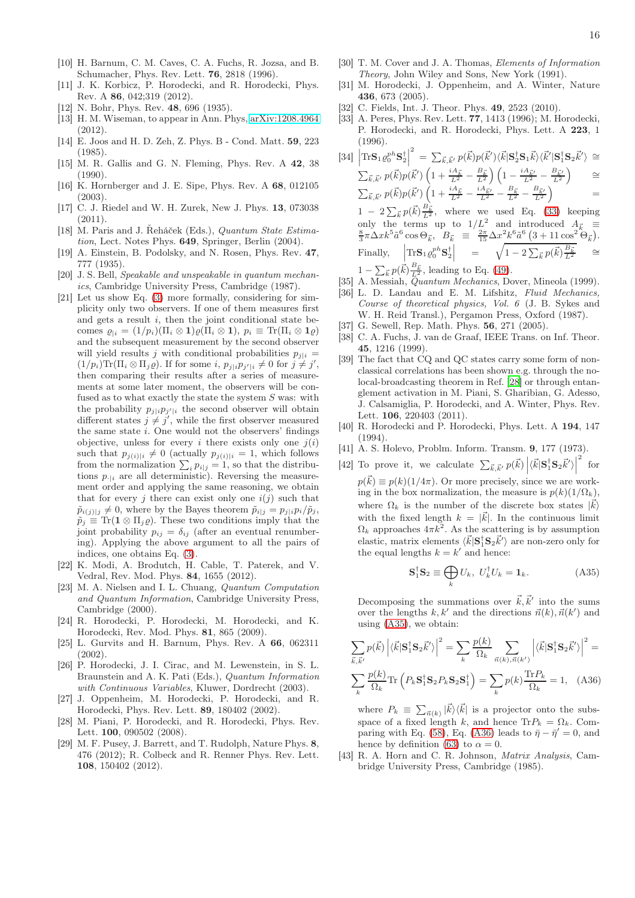- <span id="page-15-0"></span>[10] H. Barnum, C. M. Caves, C. A. Fuchs, R. Jozsa, and B. Schumacher, Phys. Rev. Lett. 76, 2818 (1996).
- <span id="page-15-1"></span>[11] J. K. Korbicz, P. Horodecki, and R. Horodecki, Phys. Rev. A 86, 042;319 (2012).
- <span id="page-15-2"></span>[12] N. Bohr, Phys. Rev. 48, 696 (1935).
- <span id="page-15-3"></span>[13] H. M. Wiseman, to appear in Ann. Phys, [arXiv:1208.4964](http://arxiv.org/abs/1208.4964) (2012).
- <span id="page-15-4"></span>[14] E. Joos and H. D. Zeh, Z. Phys. B - Cond. Matt. 59, 223 (1985).
- <span id="page-15-22"></span>[15] M. R. Gallis and G. N. Fleming, Phys. Rev. A 42, 38  $(1990)$ .
- <span id="page-15-23"></span>[16] K. Hornberger and J. E. Sipe, Phys. Rev. A 68, 012105 (2003).
- <span id="page-15-5"></span>[17] C. J. Riedel and W. H. Zurek, New J. Phys. 13, 073038  $(2011)$
- <span id="page-15-6"></span>[18] M. Paris and J. Řeháček (Eds.), Quantum State Estimation, Lect. Notes Phys. 649, Springer, Berlin (2004).
- <span id="page-15-7"></span>[19] A. Einstein, B. Podolsky, and N. Rosen, Phys. Rev. 47, 777 (1935).
- <span id="page-15-8"></span>[20] J. S. Bell, Speakable and unspeakable in quantum mechanics, Cambridge University Press, Cambridge (1987).
- <span id="page-15-9"></span>[21] Let us show Eq. [\(3\)](#page-2-2) more formally, considering for simplicity only two observers. If one of them measures first and gets a result  $i$ , then the joint conditional state becomes  $\varrho_{i} = (1/p_i)(\Pi_i \otimes \mathbf{1})\varrho(\Pi_i \otimes \mathbf{1}), p_i \equiv \text{Tr}(\Pi_i \otimes \mathbf{1}\varrho)$ and the subsequent measurement by the second observer will yield results j with conditional probabilities  $p_{i|i} =$  $(1/p_i)\text{Tr}(\Pi_i \otimes \Pi_j \varrho)$ . If for some  $i, p_{j|i}p_{j'|i} \neq 0$  for  $j \neq j'$ , then comparing their results after a series of measurements at some later moment, the observers will be confused as to what exactly the state the system S was: with the probability  $p_{j|i} p_{j'|i}$  the second observer will obtain different states  $j \neq j'$ , while the first observer measured the same state i. One would not the observers' findings objective, unless for every i there exists only one  $i(i)$ such that  $p_{j(i)|i} \neq 0$  (actually  $p_{j(i)|i} = 1$ , which follows from the normalization  $\sum_i p_{i|j} = 1$ , so that the distributions  $p_{\cdot|i}$  are all deterministic). Reversing the measurement order and applying the same reasoning, we obtain that for every j there can exist only one  $i(j)$  such that  $\tilde{p}_{i(j)|j} \neq 0$ , where by the Bayes theorem  $\tilde{p}_{i|j} = p_{j|i} p_i / \tilde{p}_j$ ,  $\tilde{p}_j \equiv \text{Tr}(\mathbf{1} \otimes \Pi_j \varrho)$ . These two conditions imply that the joint probability  $p_{ij} = \delta_{ij}$  (after an eventual renumbering). Applying the above argument to all the pairs of indices, one obtains Eq. [\(3\)](#page-2-2).
- <span id="page-15-10"></span>[22] K. Modi, A. Brodutch, H. Cable, T. Paterek, and V. Vedral, Rev. Mod. Phys. 84, 1655 (2012).
- <span id="page-15-11"></span>[23] M. A. Nielsen and I. L. Chuang, Quantum Computation and Quantum Information, Cambridge University Press, Cambridge (2000).
- <span id="page-15-12"></span>[24] R. Horodecki, P. Horodecki, M. Horodecki, and K. Horodecki, Rev. Mod. Phys. 81, 865 (2009).
- <span id="page-15-13"></span>[25] L. Gurvits and H. Barnum, Phys. Rev. A 66, 062311 (2002).
- <span id="page-15-14"></span>[26] P. Horodecki, J. I. Cirac, and M. Lewenstein, in S. L. Braunstein and A. K. Pati (Eds.), Quantum Information with Continuous Variables, Kluwer, Dordrecht (2003).
- <span id="page-15-15"></span>[27] J. Oppenheim, M. Horodecki, P. Horodecki, and R. Horodecki, Phys. Rev. Lett. 89, 180402 (2002).
- <span id="page-15-16"></span>[28] M. Piani, P. Horodecki, and R. Horodecki, Phys. Rev. Lett. 100, 090502 (2008).
- <span id="page-15-17"></span>[29] M. F. Pusey, J. Barrett, and T. Rudolph, Nature Phys. 8, 476 (2012); R. Colbeck and R. Renner Phys. Rev. Lett. 108, 150402 (2012).
- <span id="page-15-18"></span>[30] T. M. Cover and J. A. Thomas, Elements of Information Theory, John Wiley and Sons, New York (1991).
- <span id="page-15-19"></span>[31] M. Horodecki, J. Oppenheim, and A. Winter, Nature 436, 673 (2005).
- <span id="page-15-20"></span>[32] C. Fields, Int. J. Theor. Phys. **49**, 2523 (2010).
- <span id="page-15-21"></span>[33] A. Peres, Phys. Rev. Lett. 77, 1413 (1996); M. Horodecki, P. Horodecki, and R. Horodecki, Phys. Lett. A 223, 1 (1996).  $\alpha$

<span id="page-15-30"></span>
$$
[34] \left| \text{Tr} \mathbf{S}_{1} \varrho_{0}^{ph} \mathbf{S}_{2}^{\dagger} \right|^{2} = \sum_{\vec{k}, \vec{k}'} p(\vec{k}) p(\vec{k}') \langle \vec{k} | \mathbf{S}_{2}^{\dagger} \mathbf{S}_{1} \vec{k} \rangle \langle \vec{k}' | \mathbf{S}_{1}^{\dagger} \mathbf{S}_{2} \vec{k}' \rangle \cong
$$
  

$$
\sum_{\vec{k}, \vec{k}'} p(\vec{k}) p(\vec{k}') \left( 1 + \frac{iA_{\vec{k}}}{L^{2}} - \frac{B_{\vec{k}}}{L^{2}} \right) \left( 1 - \frac{iA_{\vec{k}'}}{L^{2}} - \frac{B_{\vec{k}'}}{L^{2}} \right) \cong
$$
  

$$
\sum_{\vec{k}, \vec{k}'} p(\vec{k}) p(\vec{k}') \left( 1 + \frac{iA_{\vec{k}}}{L^{2}} - \frac{iA_{\vec{k}'}}{L^{2}} - \frac{B_{\vec{k}}}{L^{2}} - \frac{B_{\vec{k}'}}{L^{2}} \right) =
$$
  

$$
1 - 2 \sum_{\vec{k}} p(\vec{k}) \frac{B_{\vec{k}}}{L^{2}}, \text{ where we used Eq. (33) keeping}
$$

- only the terms up to  $1/L^2$  and introduced  $A_{\vec{k}} \equiv \frac{8}{3}\pi\Delta x k^5 \tilde{a}^6 \cos\Theta_{\vec{k}}, B_{\vec{k}} \equiv \frac{2\pi}{15}\Delta x^2 k^6 \tilde{a}^6 (3+11\cos^2\Theta_{\vec{k}}).$ Finally,  $\left|\text{Tr} \mathbf{S}_1 \varrho_0^{ph} \mathbf{S}_2^{\dagger}\right| = \sqrt{1-2\sum_{\vec{k}} p(\vec{k}) \frac{B_{\vec{k}}}{L^2}} \cong$
- $1 \sum_{\vec{k}} p(\vec{k}) \frac{B_{\vec{k}}}{L^2}$ , leading to Eq. [\(49\)](#page-9-4).
- <span id="page-15-24"></span>[35] A. Messiah, Quantum Mechanics, Dover, Mineola (1999).
- <span id="page-15-25"></span>[36] L. D. Landau and E. M. Lifshitz, Fluid Mechanics, Course of theoretical physics, Vol. 6 (J. B. Sykes and W. H. Reid Transl.), Pergamon Press, Oxford (1987).
- <span id="page-15-26"></span>[37] G. Sewell, Rep. Math. Phys. **56**, 271 (2005).
- <span id="page-15-27"></span>[38] C. A. Fuchs, J. van de Graaf, IEEE Trans. on Inf. Theor. 45, 1216 (1999).
- <span id="page-15-28"></span>[39] The fact that CQ and QC states carry some form of nonclassical correlations has been shown e.g. through the nolocal-broadcasting theorem in Ref. [\[28\]](#page-15-16) or through entanglement activation in M. Piani, S. Gharibian, G. Adesso, J. Calsamiglia, P. Horodecki, and A. Winter, Phys. Rev. Lett. 106, 220403 (2011).
- <span id="page-15-29"></span>[40] R. Horodecki and P. Horodecki, Phys. Lett. A 194, 147 (1994).
- <span id="page-15-31"></span>[41] A. S. Holevo, Problm. Inform. Transm. 9, 177 (1973).
- <span id="page-15-32"></span>[42] To prove it, we calculate  $\sum_{\vec{k}, \vec{k}'} p(\vec{k}) |\langle \vec{k} | \mathbf{S}_1^{\dagger} \mathbf{S}_2 \vec{k}' \rangle|$ 2 for  $p(\vec{k}) \equiv p(k)(1/4\pi)$ . Or more precisely, since we are working in the box normalization, the measure is  $p(k)(1/\Omega_k)$ , where  $\Omega_k$  is the number of the discrete box states  $|\vec{k}\rangle$ with the fixed length  $k = |\vec{k}|$ . In the continuous limit  $\Omega_k$  approaches  $4\pi k^2$ . As the scattering is by assumption elastic, matrix elements  $\langle \vec{k} | \mathbf{S}_1^{\dagger} \mathbf{S}_2 \vec{k}' \rangle$  are non-zero only for the equal lengths  $k = k'$  and hence:

<span id="page-15-34"></span>
$$
\mathbf{S}_1^{\dagger} \mathbf{S}_2 \equiv \bigoplus_k U_k, \ U_k^{\dagger} U_k = \mathbf{1}_k. \tag{A35}
$$

Decomposing the summations over  $\vec{k}, \vec{k}'$  into the sums over the lengths  $k, k'$  and the directions  $\vec{n}(k), \vec{n}(k')$  and using [\(A35\)](#page-15-34), we obtain:

<span id="page-15-35"></span>
$$
\sum_{\vec{k},\vec{k}'} p(\vec{k}) \left| \langle \vec{k} | \mathbf{S}_1^{\dagger} \mathbf{S}_2 \vec{k}' \rangle \right|^2 = \sum_{k} \frac{p(k)}{\Omega_k} \sum_{\vec{n}(k),\vec{n}(k')} \left| \langle \vec{k} | \mathbf{S}_1^{\dagger} \mathbf{S}_2 \vec{k}' \rangle \right|^2 =
$$
  

$$
\sum_{k} \frac{p(k)}{\Omega_k} \text{Tr} \left( P_k \mathbf{S}_1^{\dagger} \mathbf{S}_2 P_k \mathbf{S}_2 \mathbf{S}_1^{\dagger} \right) = \sum_{k} p(k) \frac{\text{Tr} P_k}{\Omega_k} = 1, \quad (A36)
$$

where  $P_k \equiv \sum_{\vec{n}(k)} |\vec{k}\rangle\langle\vec{k}|$  is a projector onto the subsspace of a fixed length k, and hence  $\text{Tr}P_k = \Omega_k$ . Com-paring with Eq. [\(58\)](#page-10-6), Eq. [\(A36\)](#page-15-35) leads to  $\bar{\eta} - \bar{\eta}' = 0$ , and hence by definition [\(63\)](#page-10-7) to  $\alpha = 0$ .

<span id="page-15-33"></span>[43] R. A. Horn and C. R. Johnson, Matrix Analysis, Cambridge University Press, Cambridge (1985).